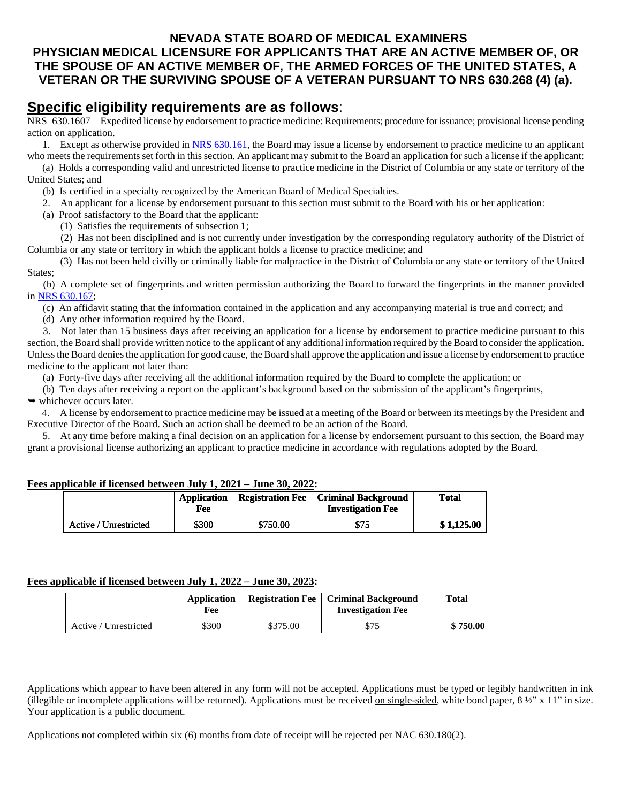### **NEVADA STATE BOARD OF MEDICAL EXAMINERS PHYSICIAN MEDICAL LICENSURE FOR APPLICANTS THAT ARE AN ACTIVE MEMBER OF, OR THE SPOUSE OF AN ACTIVE MEMBER OF, THE ARMED FORCES OF THE UNITED STATES, A VETERAN OR THE SURVIVING SPOUSE OF A VETERAN PURSUANT TO NRS 630.268 (4) (a).**

## **Specific eligibility requirements are as follows**:

NRS 630.1607 Expedited license by endorsement to practice medicine: Requirements; procedure for issuance; provisional license pending action on application.

1. Except as otherwise provided in [NRS 630.161,](https://www.leg.state.nv.us/NRS/NRS-630.html#NRS630Sec161) the Board may issue a license by endorsement to practice medicine to an applicant who meets the requirements set forth in this section. An applicant may submit to the Board an application for such a license if the applicant:

 (a) Holds a corresponding valid and unrestricted license to practice medicine in the District of Columbia or any state or territory of the United States; and

- (b) Is certified in a specialty recognized by the American Board of Medical Specialties.
- 2. An applicant for a license by endorsement pursuant to this section must submit to the Board with his or her application:
- (a) Proof satisfactory to the Board that the applicant:
	- (1) Satisfies the requirements of subsection 1;

 (2) Has not been disciplined and is not currently under investigation by the corresponding regulatory authority of the District of Columbia or any state or territory in which the applicant holds a license to practice medicine; and

 (3) Has not been held civilly or criminally liable for malpractice in the District of Columbia or any state or territory of the United States;

 (b) A complete set of fingerprints and written permission authorizing the Board to forward the fingerprints in the manner provided in [NRS 630.167;](https://www.leg.state.nv.us/NRS/NRS-630.html#NRS630Sec167)

(c) An affidavit stating that the information contained in the application and any accompanying material is true and correct; and

(d) Any other information required by the Board.

 3. Not later than 15 business days after receiving an application for a license by endorsement to practice medicine pursuant to this section, the Board shall provide written notice to the applicant of any additional information required by the Board to consider the application. Unless the Board denies the application for good cause, the Board shall approve the application and issue a license by endorsement to practice medicine to the applicant not later than:

(a) Forty-five days after receiving all the additional information required by the Board to complete the application; or

(b) Ten days after receiving a report on the applicant's background based on the submission of the applicant's fingerprints,

 $\rightarrow$  whichever occurs later.

 4. A license by endorsement to practice medicine may be issued at a meeting of the Board or between its meetings by the President and Executive Director of the Board. Such an action shall be deemed to be an action of the Board.

 5. At any time before making a final decision on an application for a license by endorsement pursuant to this section, the Board may grant a provisional license authorizing an applicant to practice medicine in accordance with regulations adopted by the Board.

| obncabic il nechseu between outv_it #v#1 = oune ovi #v##. |                           |                         |                                                        |            |  |
|-----------------------------------------------------------|---------------------------|-------------------------|--------------------------------------------------------|------------|--|
|                                                           | <b>Application</b><br>Fee | <b>Registration Fee</b> | <b>Criminal Background</b><br><b>Investigation Fee</b> | Total      |  |
| Active / Unrestricted                                     | \$300                     | \$750.00                | \$75                                                   | \$1.125.00 |  |

### **Fees applicable if licensed between July 1, 2021 – June 30, 2022:**

#### **Fees applicable if licensed between July 1, 2022 – June 30, 2023:**

|                       | Application<br>Fee |          | <b>Registration Fee   Criminal Background</b><br><b>Investigation Fee</b> | <b>Total</b> |
|-----------------------|--------------------|----------|---------------------------------------------------------------------------|--------------|
| Active / Unrestricted | \$300              | \$375.00 | \$75                                                                      | \$750.00     |

Applications which appear to have been altered in any form will not be accepted. Applications must be typed or legibly handwritten in ink (illegible or incomplete applications will be returned). Applications must be received on single-sided, white bond paper,  $8\frac{1}{2}$  x 11" in size. Your application is a public document.

Applications not completed within six (6) months from date of receipt will be rejected per NAC 630.180(2).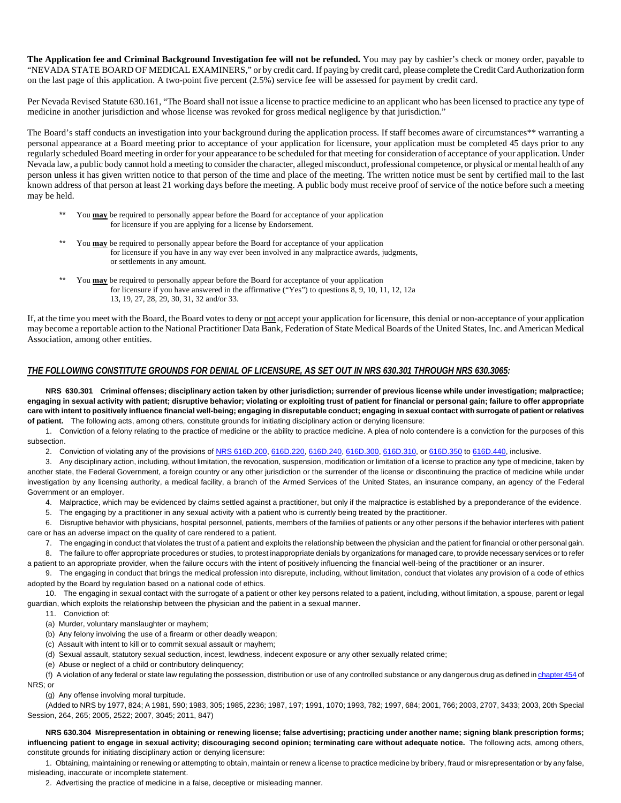**The Application fee and Criminal Background Investigation fee will not be refunded.** You may pay by cashier's check or money order, payable to "NEVADA STATE BOARD OF MEDICAL EXAMINERS," or by credit card. If paying by credit card, please complete the Credit Card Authorization form on the last page of this application. A two-point five percent (2.5%) service fee will be assessed for payment by credit card.

Per Nevada Revised Statute 630.161, "The Board shall not issue a license to practice medicine to an applicant who has been licensed to practice any type of medicine in another jurisdiction and whose license was revoked for gross medical negligence by that jurisdiction."

The Board's staff conducts an investigation into your background during the application process. If staff becomes aware of circumstances\*\* warranting a personal appearance at a Board meeting prior to acceptance of your application for licensure, your application must be completed 45 days prior to any regularly scheduled Board meeting in order for your appearance to be scheduled for that meeting for consideration of acceptance of your application. Under Nevada law, a public body cannot hold a meeting to consider the character, alleged misconduct, professional competence, or physical or mental health of any person unless it has given written notice to that person of the time and place of the meeting. The written notice must be sent by certified mail to the last known address of that person at least 21 working days before the meeting. A public body must receive proof of service of the notice before such a meeting may be held.

- You **may** be required to personally appear before the Board for acceptance of your application for licensure if you are applying for a license by Endorsement.
- You **may** be required to personally appear before the Board for acceptance of your application for licensure if you have in any way ever been involved in any malpractice awards, judgments, or settlements in any amount.
- You **may** be required to personally appear before the Board for acceptance of your application for licensure if you have answered in the affirmative ("Yes") to questions 8, 9, 10, 11, 12, 12a 13, 19, 27, 28, 29, 30, 31, 32 and/or 33.

If, at the time you meet with the Board, the Board votes to deny or not accept your application for licensure, this denial or non-acceptance of your application may become a reportable action to the National Practitioner Data Bank, Federation of State Medical Boards of the United States, Inc. and American Medical Association, among other entities.

#### *THE FOLLOWING CONSTITUTE GROUNDS FOR DENIAL OF LICENSURE, AS SET OUT IN NRS 630.301 THROUGH NRS 630.3065:*

**NRS 630.301 Criminal offenses; disciplinary action taken by other jurisdiction; surrender of previous license while under investigation; malpractice; engaging in sexual activity with patient; disruptive behavior; violating or exploiting trust of patient for financial or personal gain; failure to offer appropriate care with intent to positively influence financial well-being; engaging in disreputable conduct; engaging in sexual contact with surrogate of patient or relatives of patient.** The following acts, among others, constitute grounds for initiating disciplinary action or denying licensure:

1. Conviction of a felony relating to the practice of medicine or the ability to practice medicine. A plea of nolo contendere is a conviction for the purposes of this subsection.

2. Conviction of violating any of the provisions of [NRS 616D.200,](http://leg.state.nv.us/NRS/NRS-616D.html#NRS616DSec200) [616D.220,](http://leg.state.nv.us/NRS/NRS-616D.html#NRS616DSec220) [616D.240,](http://leg.state.nv.us/NRS/NRS-616D.html#NRS616DSec240) [616D.300,](http://leg.state.nv.us/NRS/NRS-616D.html#NRS616DSec300) [616D.310,](http://leg.state.nv.us/NRS/NRS-616D.html#NRS616DSec310) o[r 616D.350](http://leg.state.nv.us/NRS/NRS-616D.html#NRS616DSec350) t[o 616D.440,](http://leg.state.nv.us/NRS/NRS-616D.html#NRS616DSec440) inclusive.

3. Any disciplinary action, including, without limitation, the revocation, suspension, modification or limitation of a license to practice any type of medicine, taken by another state, the Federal Government, a foreign country or any other jurisdiction or the surrender of the license or discontinuing the practice of medicine while under investigation by any licensing authority, a medical facility, a branch of the Armed Services of the United States, an insurance company, an agency of the Federal Government or an employer.

- 4. Malpractice, which may be evidenced by claims settled against a practitioner, but only if the malpractice is established by a preponderance of the evidence.
- 5. The engaging by a practitioner in any sexual activity with a patient who is currently being treated by the practitioner.

6. Disruptive behavior with physicians, hospital personnel, patients, members of the families of patients or any other persons if the behavior interferes with patient care or has an adverse impact on the quality of care rendered to a patient.

7. The engaging in conduct that violates the trust of a patient and exploits the relationship between the physician and the patient for financial or other personal gain. 8. The failure to offer appropriate procedures or studies, to protest inappropriate denials by organizations for managed care, to provide necessary services or to refer

a patient to an appropriate provider, when the failure occurs with the intent of positively influencing the financial well-being of the practitioner or an insurer.

9. The engaging in conduct that brings the medical profession into disrepute, including, without limitation, conduct that violates any provision of a code of ethics adopted by the Board by regulation based on a national code of ethics.

10. The engaging in sexual contact with the surrogate of a patient or other key persons related to a patient, including, without limitation, a spouse, parent or legal guardian, which exploits the relationship between the physician and the patient in a sexual manner.

- 11. Conviction of:
- (a) Murder, voluntary manslaughter or mayhem;
- (b) Any felony involving the use of a firearm or other deadly weapon;
- (c) Assault with intent to kill or to commit sexual assault or mayhem;
- (d) Sexual assault, statutory sexual seduction, incest, lewdness, indecent exposure or any other sexually related crime;
- (e) Abuse or neglect of a child or contributory delinquency;

(f) A violation of any federal or state law regulating the possession, distribution or use of any controlled substance or any dangerous drug as defined i[n chapter 454](http://leg.state.nv.us/NRS/NRS-454.html#NRS454) of NRS; or

(g) Any offense involving moral turpitude.

(Added to NRS by 1977, 824; A 1981, 590; 1983, 305; 1985, 2236; 1987, 197; 1991, 1070; 1993, 782; 1997, 684; 2001, 766; 2003, 2707, 3433; 2003, 20th Special Session, 264, 265; 2005, 2522; 2007, 3045; 2011, 847)

**NRS 630.304 Misrepresentation in obtaining or renewing license; false advertising; practicing under another name; signing blank prescription forms; influencing patient to engage in sexual activity; discouraging second opinion; terminating care without adequate notice.** The following acts, among others, constitute grounds for initiating disciplinary action or denying licensure:

1. Obtaining, maintaining or renewing or attempting to obtain, maintain or renew a license to practice medicine by bribery, fraud or misrepresentation or by any false, misleading, inaccurate or incomplete statement.

2. Advertising the practice of medicine in a false, deceptive or misleading manner.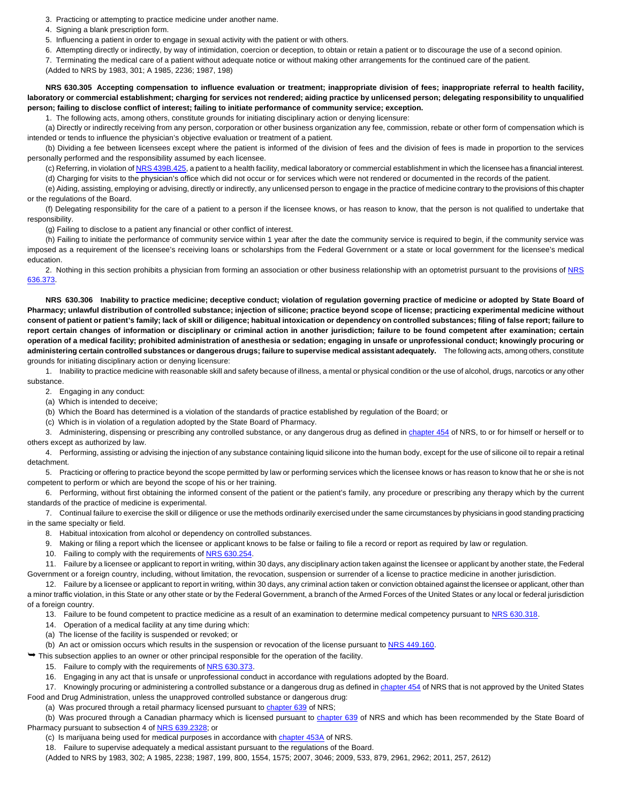3. Practicing or attempting to practice medicine under another name.

4. Signing a blank prescription form.

5. Influencing a patient in order to engage in sexual activity with the patient or with others.

6. Attempting directly or indirectly, by way of intimidation, coercion or deception, to obtain or retain a patient or to discourage the use of a second opinion.

7. Terminating the medical care of a patient without adequate notice or without making other arrangements for the continued care of the patient.

(Added to NRS by 1983, 301; A 1985, 2236; 1987, 198)

**NRS 630.305 Accepting compensation to influence evaluation or treatment; inappropriate division of fees; inappropriate referral to health facility, laboratory or commercial establishment; charging for services not rendered; aiding practice by unlicensed person; delegating responsibility to unqualified person; failing to disclose conflict of interest; failing to initiate performance of community service; exception.**

1. The following acts, among others, constitute grounds for initiating disciplinary action or denying licensure:

(a) Directly or indirectly receiving from any person, corporation or other business organization any fee, commission, rebate or other form of compensation which is intended or tends to influence the physician's objective evaluation or treatment of a patient.

(b) Dividing a fee between licensees except where the patient is informed of the division of fees and the division of fees is made in proportion to the services personally performed and the responsibility assumed by each licensee.

(c) Referring, in violation o[f NRS 439B.425,](http://www.leg.state.nv.us/NRS/NRS-439B.html#NRS439BSec425) a patient to a health facility, medical laboratory or commercial establishment in which the licensee has a financial interest.

(d) Charging for visits to the physician's office which did not occur or for services which were not rendered or documented in the records of the patient.

(e) Aiding, assisting, employing or advising, directly or indirectly, any unlicensed person to engage in the practice of medicine contrary to the provisions of this chapter or the regulations of the Board.

(f) Delegating responsibility for the care of a patient to a person if the licensee knows, or has reason to know, that the person is not qualified to undertake that responsibility.

(g) Failing to disclose to a patient any financial or other conflict of interest.

(h) Failing to initiate the performance of community service within 1 year after the date the community service is required to begin, if the community service was imposed as a requirement of the licensee's receiving loans or scholarships from the Federal Government or a state or local government for the licensee's medical education.

2. Nothing in this section prohibits a physician from forming an association or other business relationship with an optometrist pursuant to the provisions of [NRS](http://www.leg.state.nv.us/NRS/NRS-636.html#NRS636Sec373)  [636.373.](http://www.leg.state.nv.us/NRS/NRS-636.html#NRS636Sec373)

**NRS 630.306 Inability to practice medicine; deceptive conduct; violation of regulation governing practice of medicine or adopted by State Board of Pharmacy; unlawful distribution of controlled substance; injection of silicone; practice beyond scope of license; practicing experimental medicine without consent of patient or patient's family; lack of skill or diligence; habitual intoxication or dependency on controlled substances; filing of false report; failure to report certain changes of information or disciplinary or criminal action in another jurisdiction; failure to be found competent after examination; certain operation of a medical facility; prohibited administration of anesthesia or sedation; engaging in unsafe or unprofessional conduct; knowingly procuring or administering certain controlled substances or dangerous drugs; failure to supervise medical assistant adequately.** The following acts, among others, constitute grounds for initiating disciplinary action or denying licensure:

1. Inability to practice medicine with reasonable skill and safety because of illness, a mental or physical condition or the use of alcohol, drugs, narcotics or any other substance.

2. Engaging in any conduct:

(a) Which is intended to deceive;

(b) Which the Board has determined is a violation of the standards of practice established by regulation of the Board; or

(c) Which is in violation of a regulation adopted by the State Board of Pharmacy.

3. Administering, dispensing or prescribing any controlled substance, or any dangerous drug as defined i[n chapter 454](http://leg.state.nv.us/NRS/NRS-454.html#NRS454) of NRS, to or for himself or herself or to others except as authorized by law.

4. Performing, assisting or advising the injection of any substance containing liquid silicone into the human body, except for the use of silicone oil to repair a retinal detachment.

5. Practicing or offering to practice beyond the scope permitted by law or performing services which the licensee knows or has reason to know that he or she is not competent to perform or which are beyond the scope of his or her training.

6. Performing, without first obtaining the informed consent of the patient or the patient's family, any procedure or prescribing any therapy which by the current standards of the practice of medicine is experimental.

7. Continual failure to exercise the skill or diligence or use the methods ordinarily exercised under the same circumstances by physicians in good standing practicing in the same specialty or field.

8. Habitual intoxication from alcohol or dependency on controlled substances.

9. Making or filing a report which the licensee or applicant knows to be false or failing to file a record or report as required by law or regulation.

10. Failing to comply with the requirements o[f NRS 630.254.](http://leg.state.nv.us/NRS/NRS-630.html#NRS630Sec254)

11. Failure by a licensee or applicant to report in writing, within 30 days, any disciplinary action taken against the licensee or applicant by another state, the Federal Government or a foreign country, including, without limitation, the revocation, suspension or surrender of a license to practice medicine in another jurisdiction.

12. Failure by a licensee or applicant to report in writing, within 30 days, any criminal action taken or conviction obtained against the licensee or applicant, other than a minor traffic violation, in this State or any other state or by the Federal Government, a branch of the Armed Forces of the United States or any local or federal jurisdiction of a foreign country.

13. Failure to be found competent to practice medicine as a result of an examination to determine medical competency pursuant to [NRS 630.318.](http://leg.state.nv.us/NRS/NRS-630.html#NRS630Sec318)

14. Operation of a medical facility at any time during which:

(a) The license of the facility is suspended or revoked; or

(b) An act or omission occurs which results in the suspension or revocation of the license pursuant to [NRS 449.160.](http://leg.state.nv.us/NRS/NRS-449.html#NRS449Sec160)

 $\rightarrow$  This subsection applies to an owner or other principal responsible for the operation of the facility.

15. Failure to comply with the requirements o[f NRS 630.373.](http://leg.state.nv.us/NRS/NRS-630.html#NRS630Sec373)

16. Engaging in any act that is unsafe or unprofessional conduct in accordance with regulations adopted by the Board.

17. Knowingly procuring or administering a controlled substance or a dangerous drug as defined i[n chapter 454](http://leg.state.nv.us/NRS/NRS-454.html#NRS454) of NRS that is not approved by the United States Food and Drug Administration, unless the unapproved controlled substance or dangerous drug:

(a) Was procured through a retail pharmacy licensed pursuant to [chapter 639](http://leg.state.nv.us/NRS/NRS-639.html#NRS639) of NRS;

(b) Was procured through a Canadian pharmacy which is licensed pursuant t[o chapter 639](http://leg.state.nv.us/NRS/NRS-639.html#NRS639) of NRS and which has been recommended by the State Board of Pharmacy pursuant to subsection 4 of [NRS 639.2328;](http://leg.state.nv.us/NRS/NRS-639.html#NRS639Sec2328) or

(c) Is marijuana being used for medical purposes in accordance with [chapter 453A](http://leg.state.nv.us/NRS/NRS-453A.html#NRS453A) of NRS.

18. Failure to supervise adequately a medical assistant pursuant to the regulations of the Board.

(Added to NRS by 1983, 302; A 1985, 2238; 1987, 199, 800, 1554, 1575; 2007, 3046; 2009, 533, 879, 2961, 2962; 2011, 257, 2612)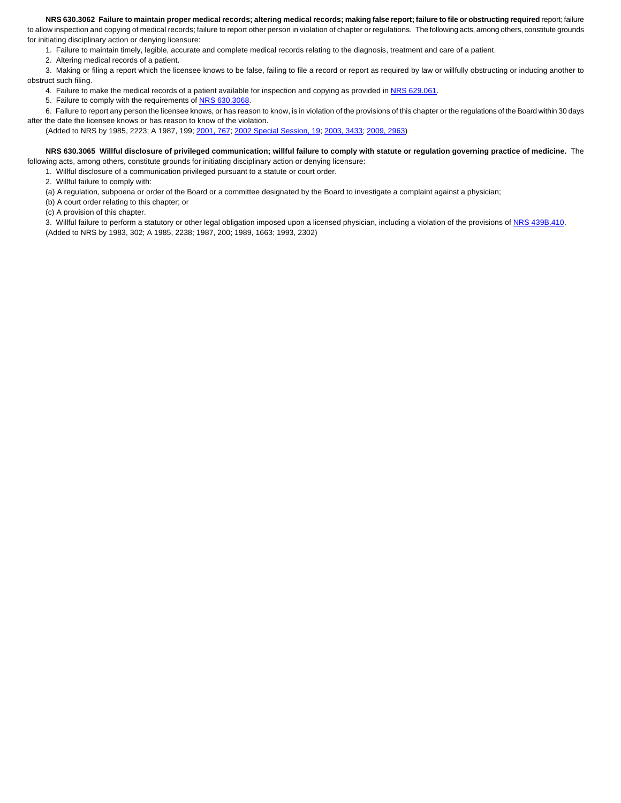#### **NRS 630.3062 Failure to maintain proper medical records; altering medical records; making false report; failure to file or obstructing required** report; failure

to allow inspection and copying of medical records; failure to report other person in violation of chapter or regulations. The following acts, among others, constitute grounds for initiating disciplinary action or denying licensure:

1. Failure to maintain timely, legible, accurate and complete medical records relating to the diagnosis, treatment and care of a patient.

2. Altering medical records of a patient.

3. Making or filing a report which the licensee knows to be false, failing to file a record or report as required by law or willfully obstructing or inducing another to obstruct such filing.

4. Failure to make the medical records of a patient available for inspection and copying as provided i[n NRS 629.061.](http://www.leg.state.nv.us/NRS/NRS-629.html#NRS629Sec061)

5. Failure to comply with the requirements o[f NRS 630.3068.](http://www.leg.state.nv.us/NRS/NRS-630.html#NRS630Sec3068)

6. Failure to report any person the licensee knows, or has reason to know, is in violation of the provisions of this chapter or the regulations of the Board within 30 days

after the date the licensee knows or has reason to know of the violation.

(Added to NRS by 1985, 2223; A 1987, 199; [2001, 767;](http://www.leg.state.nv.us/Statutes/71st/Stats200106.html#Stats200106page767) [2002 Special Session, 19;](http://www.leg.state.nv.us/Statutes/18thSS/Stats2002SS01.html#Stats2002SS01page19) [2003, 3433;](http://www.leg.state.nv.us/Statutes/72nd/Stats200327.html#Stats200327page3433) [2009, 2963\)](http://www.leg.state.nv.us/Statutes/75th2009/Stats200929.html#Stats200929page2963)

#### **NRS 630.3065 Willful disclosure of privileged communication; willful failure to comply with statute or regulation governing practice of medicine.** The following acts, among others, constitute grounds for initiating disciplinary action or denying licensure:

1. Willful disclosure of a communication privileged pursuant to a statute or court order.

2. Willful failure to comply with:

(a) A regulation, subpoena or order of the Board or a committee designated by the Board to investigate a complaint against a physician;

(b) A court order relating to this chapter; or

(c) A provision of this chapter.

3. Willful failure to perform a statutory or other legal obligation imposed upon a licensed physician, including a violation of the provisions o[f NRS 439B.410.](http://www.leg.state.nv.us/NRS/NRS-439B.html#NRS439BSec410) (Added to NRS by 1983, 302; A 1985, 2238; 1987, 200; 1989, 1663; 1993, 2302)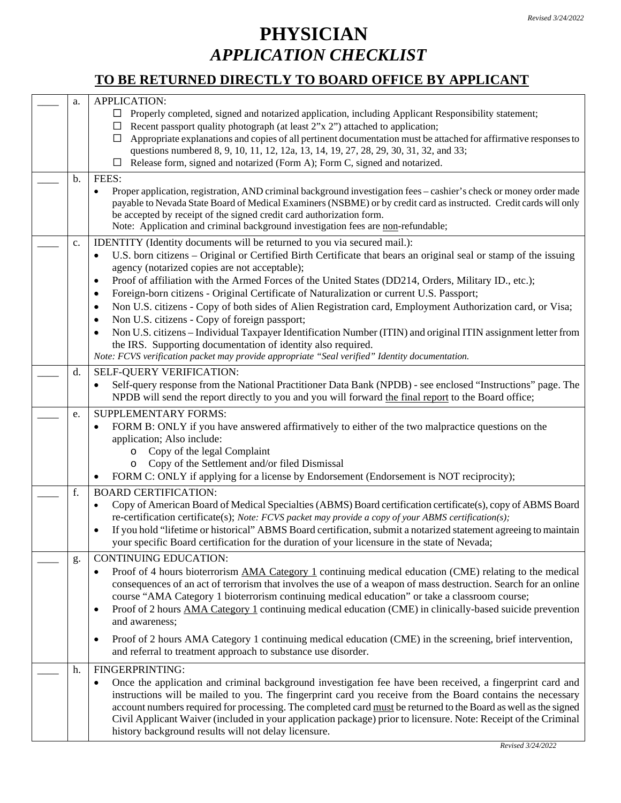# **PHYSICIAN** *APPLICATION CHECKLIST*

## **TO BE RETURNED DIRECTLY TO BOARD OFFICE BY APPLICANT**

| a.            | <b>APPLICATION:</b><br>Properly completed, signed and notarized application, including Applicant Responsibility statement;<br>$\Box$<br>$\Box$ Recent passport quality photograph (at least 2"x 2") attached to application;<br>Appropriate explanations and copies of all pertinent documentation must be attached for affirmative responses to<br>⊔<br>questions numbered 8, 9, 10, 11, 12, 12a, 13, 14, 19, 27, 28, 29, 30, 31, 32, and 33;                                                                                                                                                                                                                                                                                                      |
|---------------|-----------------------------------------------------------------------------------------------------------------------------------------------------------------------------------------------------------------------------------------------------------------------------------------------------------------------------------------------------------------------------------------------------------------------------------------------------------------------------------------------------------------------------------------------------------------------------------------------------------------------------------------------------------------------------------------------------------------------------------------------------|
|               | Release form, signed and notarized (Form A); Form C, signed and notarized.<br>⊔                                                                                                                                                                                                                                                                                                                                                                                                                                                                                                                                                                                                                                                                     |
| $\mathbf b$ . | FEES:                                                                                                                                                                                                                                                                                                                                                                                                                                                                                                                                                                                                                                                                                                                                               |
|               | Proper application, registration, AND criminal background investigation fees – cashier's check or money order made<br>payable to Nevada State Board of Medical Examiners (NSBME) or by credit card as instructed. Credit cards will only<br>be accepted by receipt of the signed credit card authorization form.<br>Note: Application and criminal background investigation fees are non-refundable;                                                                                                                                                                                                                                                                                                                                                |
| c.            | IDENTITY (Identity documents will be returned to you via secured mail.):<br>U.S. born citizens – Original or Certified Birth Certificate that bears an original seal or stamp of the issuing<br>agency (notarized copies are not acceptable);<br>Proof of affiliation with the Armed Forces of the United States (DD214, Orders, Military ID., etc.);<br>$\bullet$<br>Foreign-born citizens - Original Certificate of Naturalization or current U.S. Passport;<br>Non U.S. citizens - Copy of both sides of Alien Registration card, Employment Authorization card, or Visa;<br>٠<br>Non U.S. citizens - Copy of foreign passport;<br>Non U.S. citizens – Individual Taxpayer Identification Number (ITIN) and original ITIN assignment letter from |
|               | the IRS. Supporting documentation of identity also required.                                                                                                                                                                                                                                                                                                                                                                                                                                                                                                                                                                                                                                                                                        |
|               | Note: FCVS verification packet may provide appropriate "Seal verified" Identity documentation.                                                                                                                                                                                                                                                                                                                                                                                                                                                                                                                                                                                                                                                      |
| d.            | SELF-QUERY VERIFICATION:<br>Self-query response from the National Practitioner Data Bank (NPDB) - see enclosed "Instructions" page. The<br>NPDB will send the report directly to you and you will forward the final report to the Board office;                                                                                                                                                                                                                                                                                                                                                                                                                                                                                                     |
| e.            | <b>SUPPLEMENTARY FORMS:</b><br>FORM B: ONLY if you have answered affirmatively to either of the two malpractice questions on the<br>application; Also include:<br>Copy of the legal Complaint<br>$\circ$<br>Copy of the Settlement and/or filed Dismissal<br>$\circ$<br>FORM C: ONLY if applying for a license by Endorsement (Endorsement is NOT reciprocity);                                                                                                                                                                                                                                                                                                                                                                                     |
| f.            | <b>BOARD CERTIFICATION:</b>                                                                                                                                                                                                                                                                                                                                                                                                                                                                                                                                                                                                                                                                                                                         |
|               | Copy of American Board of Medical Specialties (ABMS) Board certification certificate(s), copy of ABMS Board<br>re-certification certificate(s); Note: FCVS packet may provide a copy of your ABMS certification(s);<br>If you hold "lifetime or historical" ABMS Board certification, submit a notarized statement agreeing to maintain<br>your specific Board certification for the duration of your licensure in the state of Nevada;                                                                                                                                                                                                                                                                                                             |
| g.            | <b>CONTINUING EDUCATION:</b>                                                                                                                                                                                                                                                                                                                                                                                                                                                                                                                                                                                                                                                                                                                        |
|               | Proof of 4 hours bioterrorism AMA Category 1 continuing medical education (CME) relating to the medical<br>٠<br>consequences of an act of terrorism that involves the use of a weapon of mass destruction. Search for an online<br>course "AMA Category 1 bioterrorism continuing medical education" or take a classroom course;<br>Proof of 2 hours AMA Category 1 continuing medical education (CME) in clinically-based suicide prevention<br>$\bullet$<br>and awareness;                                                                                                                                                                                                                                                                        |
|               | Proof of 2 hours AMA Category 1 continuing medical education (CME) in the screening, brief intervention,<br>$\bullet$<br>and referral to treatment approach to substance use disorder.                                                                                                                                                                                                                                                                                                                                                                                                                                                                                                                                                              |
| h.            | FINGERPRINTING:<br>Once the application and criminal background investigation fee have been received, a fingerprint card and<br>instructions will be mailed to you. The fingerprint card you receive from the Board contains the necessary<br>account numbers required for processing. The completed card must be returned to the Board as well as the signed                                                                                                                                                                                                                                                                                                                                                                                       |
|               | Civil Applicant Waiver (included in your application package) prior to licensure. Note: Receipt of the Criminal<br>history background results will not delay licensure.                                                                                                                                                                                                                                                                                                                                                                                                                                                                                                                                                                             |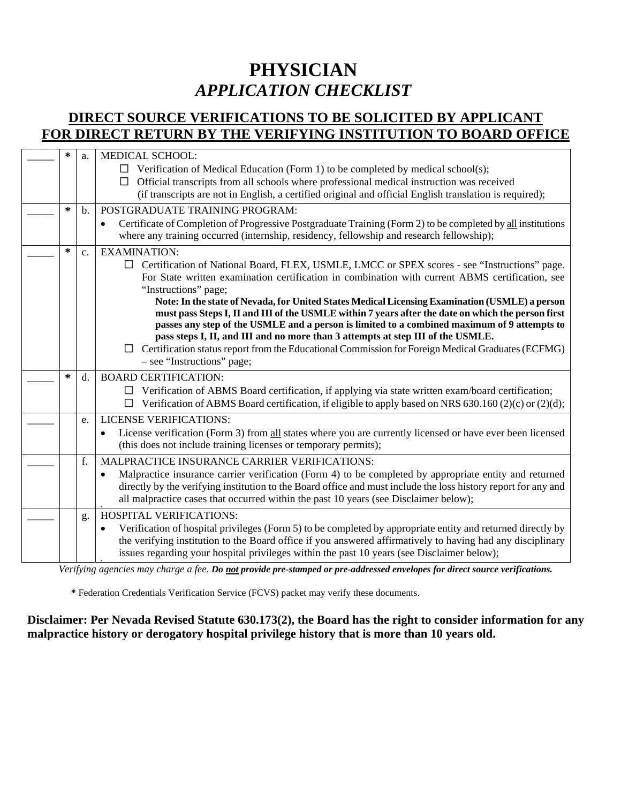# **PHYSICIAN** *APPLICATION CHECKLIST*

## **DIRECT SOURCE VERIFICATIONS TO BE SOLICITED BY APPLICANT FOR DIRECT RETURN BY THE VERIFYING INSTITUTION TO BOARD OFFICE**

| ∗ | a.            | <b>MEDICAL SCHOOL:</b><br>$\Box$ Verification of Medical Education (Form 1) to be completed by medical school(s);<br>Official transcripts from all schools where professional medical instruction was received<br>$\Box$<br>(if transcripts are not in English, a certified original and official English translation is required);                                                                                                                                                                                                                                                                                                                                                                                                                                                |
|---|---------------|------------------------------------------------------------------------------------------------------------------------------------------------------------------------------------------------------------------------------------------------------------------------------------------------------------------------------------------------------------------------------------------------------------------------------------------------------------------------------------------------------------------------------------------------------------------------------------------------------------------------------------------------------------------------------------------------------------------------------------------------------------------------------------|
| ∗ | $\mathbf b$ . | POSTGRADUATE TRAINING PROGRAM:<br>Certificate of Completion of Progressive Postgraduate Training (Form 2) to be completed by all institutions<br>$\bullet$<br>where any training occurred (internship, residency, fellowship and research fellowship);                                                                                                                                                                                                                                                                                                                                                                                                                                                                                                                             |
| ∗ | c.            | <b>EXAMINATION:</b><br>$\Box$ Certification of National Board, FLEX, USMLE, LMCC or SPEX scores - see "Instructions" page.<br>For State written examination certification in combination with current ABMS certification, see<br>"Instructions" page;<br>Note: In the state of Nevada, for United States Medical Licensing Examination (USMLE) a person<br>must pass Steps I, II and III of the USMLE within 7 years after the date on which the person first<br>passes any step of the USMLE and a person is limited to a combined maximum of 9 attempts to<br>pass steps I, II, and III and no more than 3 attempts at step III of the USMLE.<br>Certification status report from the Educational Commission for Foreign Medical Graduates (ECFMG)<br>- see "Instructions" page; |
| ∗ | d.            | <b>BOARD CERTIFICATION:</b><br>Verification of ABMS Board certification, if applying via state written exam/board certification;<br>□<br>Verification of ABMS Board certification, if eligible to apply based on NRS 630.160 (2)(c) or (2)(d);                                                                                                                                                                                                                                                                                                                                                                                                                                                                                                                                     |
|   | e.            | <b>LICENSE VERIFICATIONS:</b><br>License verification (Form 3) from all states where you are currently licensed or have ever been licensed<br>$\bullet$<br>(this does not include training licenses or temporary permits);                                                                                                                                                                                                                                                                                                                                                                                                                                                                                                                                                         |
|   | f.            | MALPRACTICE INSURANCE CARRIER VERIFICATIONS:<br>Malpractice insurance carrier verification (Form 4) to be completed by appropriate entity and returned<br>directly by the verifying institution to the Board office and must include the loss history report for any and<br>all malpractice cases that occurred within the past 10 years (see Disclaimer below);                                                                                                                                                                                                                                                                                                                                                                                                                   |
|   | g.            | <b>HOSPITAL VERIFICATIONS:</b><br>Verification of hospital privileges (Form 5) to be completed by appropriate entity and returned directly by<br>$\bullet$<br>the verifying institution to the Board office if you answered affirmatively to having had any disciplinary<br>issues regarding your hospital privileges within the past 10 years (see Disclaimer below);                                                                                                                                                                                                                                                                                                                                                                                                             |

*Verifying agencies may charge a fee. Do not provide pre-stamped or pre-addressed envelopes for direct source verifications.*

 **\*** Federation Credentials Verification Service (FCVS) packet may verify these documents.

### **Disclaimer: Per Nevada Revised Statute 630.173(2), the Board has the right to consider information for any malpractice history or derogatory hospital privilege history that is more than 10 years old.**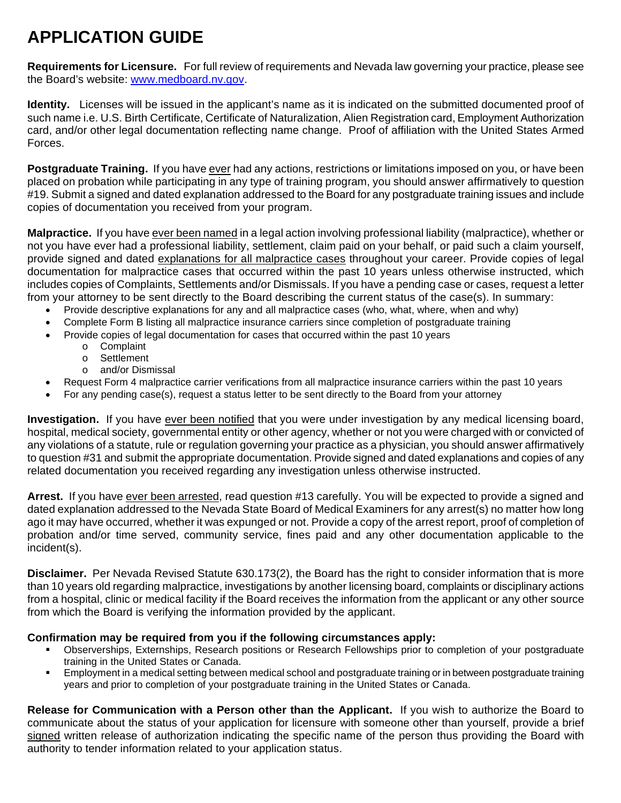# **APPLICATION GUIDE**

**Requirements for Licensure.** For full review of requirements and Nevada law governing your practice, please see the Board's website: [www.medboard.nv.gov.](http://www.medboard.nv.gov/)

**Identity.** Licenses will be issued in the applicant's name as it is indicated on the submitted documented proof of such name i.e. U.S. Birth Certificate, Certificate of Naturalization, Alien Registration card, Employment Authorization card, and/or other legal documentation reflecting name change. Proof of affiliation with the United States Armed Forces.

**Postgraduate Training.** If you have ever had any actions, restrictions or limitations imposed on you, or have been placed on probation while participating in any type of training program, you should answer affirmatively to question #19. Submit a signed and dated explanation addressed to the Board for any postgraduate training issues and include copies of documentation you received from your program.

**Malpractice.** If you have ever been named in a legal action involving professional liability (malpractice), whether or not you have ever had a professional liability, settlement, claim paid on your behalf, or paid such a claim yourself, provide signed and dated explanations for all malpractice cases throughout your career. Provide copies of legal documentation for malpractice cases that occurred within the past 10 years unless otherwise instructed, which includes copies of Complaints, Settlements and/or Dismissals. If you have a pending case or cases, request a letter from your attorney to be sent directly to the Board describing the current status of the case(s). In summary:

- Provide descriptive explanations for any and all malpractice cases (who, what, where, when and why)
- Complete Form B listing all malpractice insurance carriers since completion of postgraduate training
- Provide copies of legal documentation for cases that occurred within the past 10 years
	- o Complaint
	- o Settlement<br>o and/or Disn
	- and/or Dismissal
- Request Form 4 malpractice carrier verifications from all malpractice insurance carriers within the past 10 years
- For any pending case(s), request a status letter to be sent directly to the Board from your attorney

**Investigation.** If you have ever been notified that you were under investigation by any medical licensing board, hospital, medical society, governmental entity or other agency, whether or not you were charged with or convicted of any violations of a statute, rule or regulation governing your practice as a physician, you should answer affirmatively to question #31 and submit the appropriate documentation. Provide signed and dated explanations and copies of any related documentation you received regarding any investigation unless otherwise instructed.

**Arrest.** If you have ever been arrested, read question #13 carefully. You will be expected to provide a signed and dated explanation addressed to the Nevada State Board of Medical Examiners for any arrest(s) no matter how long ago it may have occurred, whether it was expunged or not. Provide a copy of the arrest report, proof of completion of probation and/or time served, community service, fines paid and any other documentation applicable to the incident(s).

**Disclaimer.** Per Nevada Revised Statute 630.173(2), the Board has the right to consider information that is more than 10 years old regarding malpractice, investigations by another licensing board, complaints or disciplinary actions from a hospital, clinic or medical facility if the Board receives the information from the applicant or any other source from which the Board is verifying the information provided by the applicant.

#### **Confirmation may be required from you if the following circumstances apply:**

- Observerships, Externships, Research positions or Research Fellowships prior to completion of your postgraduate training in the United States or Canada.
- Employment in a medical setting between medical school and postgraduate training or in between postgraduate training years and prior to completion of your postgraduate training in the United States or Canada.

**Release for Communication with a Person other than the Applicant.** If you wish to authorize the Board to communicate about the status of your application for licensure with someone other than yourself, provide a brief signed written release of authorization indicating the specific name of the person thus providing the Board with authority to tender information related to your application status.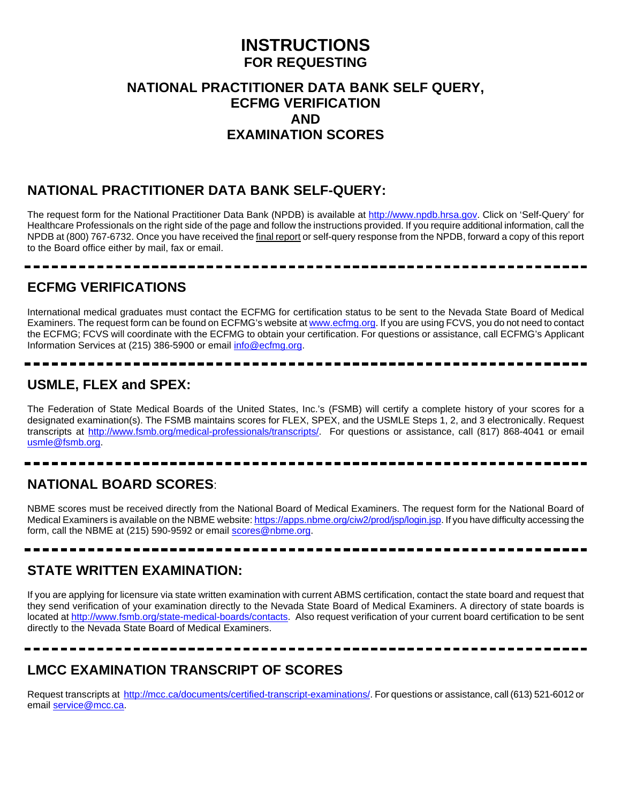## **INSTRUCTIONS FOR REQUESTING**

### **NATIONAL PRACTITIONER DATA BANK SELF QUERY, ECFMG VERIFICATION AND EXAMINATION SCORES**

## **NATIONAL PRACTITIONER DATA BANK SELF-QUERY:**

The request form for the National Practitioner Data Bank (NPDB) is available at [http://www.npdb.hrsa.gov.](http://www.npdb.hrsa.gov/) Click on 'Self-Query' for Healthcare Professionals on the right side of the page and follow the instructions provided. If you require additional information, call the NPDB at (800) 767-6732. Once you have received the final report or self-query response from the NPDB, forward a copy of this report to the Board office either by mail, fax or email.

### **ECFMG VERIFICATIONS**

International medical graduates must contact the ECFMG for certification status to be sent to the Nevada State Board of Medical Examiners. The request form can be found on ECFMG's website a[t www.ecfmg.org.](http://www.ecfmg.org/) If you are using FCVS, you do not need to contact the ECFMG; FCVS will coordinate with the ECFMG to obtain your certification. For questions or assistance, call ECFMG's Applicant Information Services at (215) 386-5900 or email [info@ecfmg.org.](mailto:info@ecfmg.org)

## **USMLE, FLEX and SPEX:**

The Federation of State Medical Boards of the United States, Inc.'s (FSMB) will certify a complete history of your scores for a designated examination(s). The FSMB maintains scores for FLEX, SPEX, and the USMLE Steps 1, 2, and 3 electronically. Request transcripts at [http://www.fsmb.org/medical-professionals/transcripts/.](http://www.fsmb.org/medical-professionals/transcripts/) For questions or assistance, call (817) 868-4041 or email [usmle@fsmb.org.](mailto:usmle@fsmb.org)

## **NATIONAL BOARD SCORES**:

NBME scores must be received directly from the National Board of Medical Examiners. The request form for the National Board of Medical Examiners is available on the NBME website: <https://apps.nbme.org/ciw2/prod/jsp/login.jsp>. If you have difficulty accessing the form, call the NBME at (215) 590-9592 or emai[l scores@nbme.org.](mailto:scores@nbme.org)

## **STATE WRITTEN EXAMINATION:**

If you are applying for licensure via state written examination with current ABMS certification, contact the state board and request that they send verification of your examination directly to the Nevada State Board of Medical Examiners. A directory of state boards is located a[t http://www.fsmb.org/state-medical-boards/contacts.](http://www.fsmb.org/state-medical-boards/contacts) Also request verification of your current board certification to be sent directly to the Nevada State Board of Medical Examiners.

## **LMCC EXAMINATION TRANSCRIPT OF SCORES**

--------

Request transcripts at<http://mcc.ca/documents/certified-transcript-examinations/>. For questions or assistance, call (613) 521-6012 or email [service@mcc.ca.](mailto:service@mcc.ca)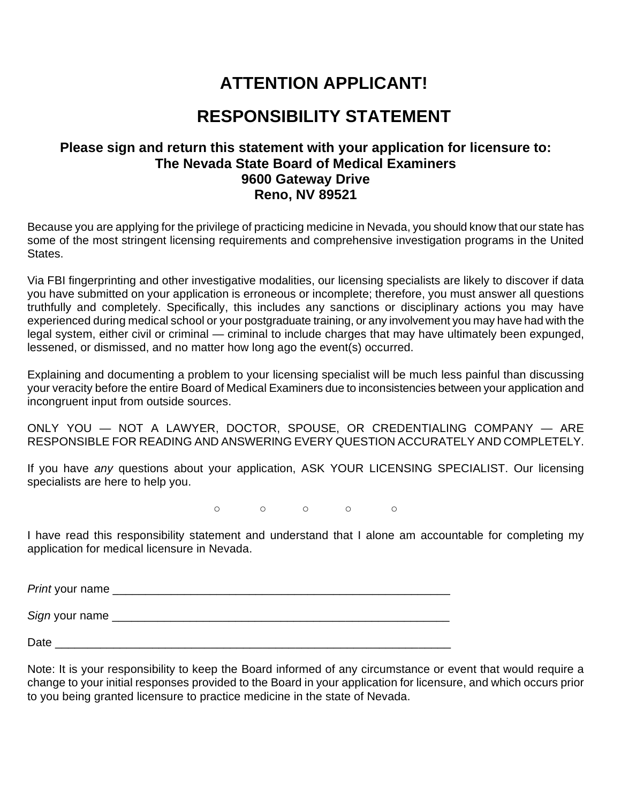## **ATTENTION APPLICANT!**

## **RESPONSIBILITY STATEMENT**

### **Please sign and return this statement with your application for licensure to: The Nevada State Board of Medical Examiners 9600 Gateway Drive Reno, NV 89521**

Because you are applying for the privilege of practicing medicine in Nevada, you should know that our state has some of the most stringent licensing requirements and comprehensive investigation programs in the United States.

Via FBI fingerprinting and other investigative modalities, our licensing specialists are likely to discover if data you have submitted on your application is erroneous or incomplete; therefore, you must answer all questions truthfully and completely. Specifically, this includes any sanctions or disciplinary actions you may have experienced during medical school or your postgraduate training, or any involvement you may have had with the legal system, either civil or criminal — criminal to include charges that may have ultimately been expunged, lessened, or dismissed, and no matter how long ago the event(s) occurred.

Explaining and documenting a problem to your licensing specialist will be much less painful than discussing your veracity before the entire Board of Medical Examiners due to inconsistencies between your application and incongruent input from outside sources.

ONLY YOU — NOT A LAWYER, DOCTOR, SPOUSE, OR CREDENTIALING COMPANY — ARE RESPONSIBLE FOR READING AND ANSWERING EVERY QUESTION ACCURATELY AND COMPLETELY.

If you have *any* questions about your application, ASK YOUR LICENSING SPECIALIST. Our licensing specialists are here to help you.

 $\circ$   $\circ$   $\circ$   $\circ$   $\circ$ 

I have read this responsibility statement and understand that I alone am accountable for completing my application for medical licensure in Nevada.

*Print* your name \_\_\_\_\_\_\_\_\_\_\_\_\_\_\_\_\_\_\_\_\_\_\_\_\_\_\_\_\_\_\_\_\_\_\_\_\_\_\_\_\_\_\_\_\_\_\_\_\_\_\_\_

*Sign* your name \_\_\_\_\_\_\_\_\_\_\_\_\_\_\_\_\_\_\_\_\_\_\_\_\_\_\_\_\_\_\_\_\_\_\_\_\_\_\_\_\_\_\_\_\_\_\_\_\_\_\_\_

Date \_\_\_\_\_\_\_\_\_\_\_\_\_\_\_\_\_\_\_\_\_\_\_\_\_\_\_\_\_\_\_\_\_\_\_\_\_\_\_\_\_\_\_\_\_\_\_\_\_\_\_\_\_\_\_\_\_\_\_\_\_

Note: It is your responsibility to keep the Board informed of any circumstance or event that would require a change to your initial responses provided to the Board in your application for licensure, and which occurs prior to you being granted licensure to practice medicine in the state of Nevada.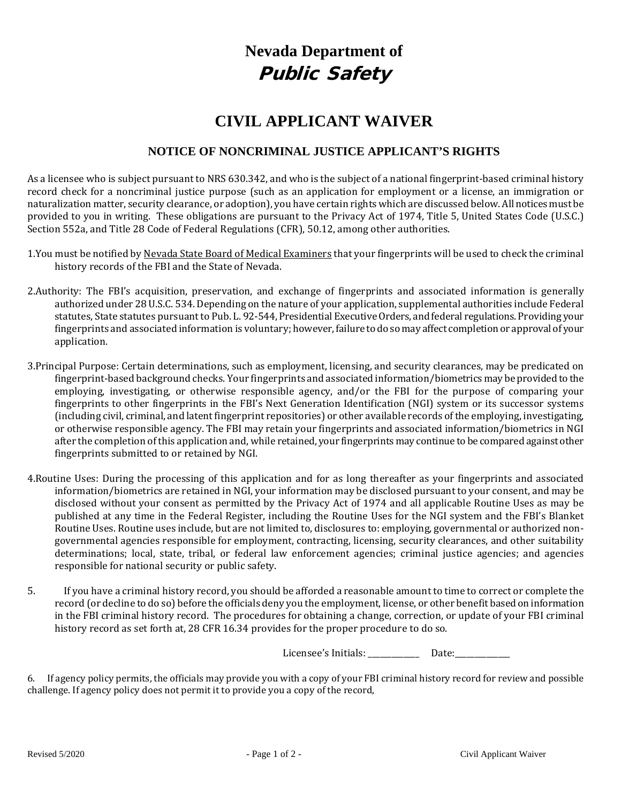# **Nevada Department of**  Public Safety

## **CIVIL APPLICANT WAIVER**

### **NOTICE OF NONCRIMINAL JUSTICE APPLICANT'S RIGHTS**

As a licensee who is subject pursuant to NRS 630.342, and who is the subject of a national fingerprint-based criminal history record check for a noncriminal justice purpose (such as an application for employment or a license, an immigration or naturalization matter, security clearance, or adoption), you have certain rights which are discussed below. All notices must be provided to you in writing. These obligations are pursuant to the Privacy Act of 1974, Title 5, United States Code (U.S.C.) Section 552a, and Title 28 Code of Federal Regulations (CFR), 50.12, among other authorities.

- 1.You must be notified by Nevada State Board of Medical Examiners that your fingerprints will be used to check the criminal history records of the FBI and the State of Nevada.
- 2.Authority: The FBI's acquisition, preservation, and exchange of fingerprints and associated information is generally authorized under 28 U.S.C. 534. Depending on the nature of your application, supplemental authorities include Federal statutes, State statutes pursuant to Pub. L. 92-544, Presidential Executive Orders, and federal regulations. Providing your fingerprints and associated information is voluntary; however, failure to do so may affect completion or approval of your application.
- 3.Principal Purpose: Certain determinations, such as employment, licensing, and security clearances, may be predicated on fingerprint-based background checks. Your fingerprints and associated information/biometrics may be provided to the employing, investigating, or otherwise responsible agency, and/or the FBI for the purpose of comparing your fingerprints to other fingerprints in the FBI's Next Generation Identification (NGI) system or its successor systems (including civil, criminal, and latent fingerprint repositories) or other available records of the employing, investigating, or otherwise responsible agency. The FBI may retain your fingerprints and associated information/biometrics in NGI after the completion of this application and, while retained, your fingerprints may continue to be compared against other fingerprints submitted to or retained by NGI.
- 4.Routine Uses: During the processing of this application and for as long thereafter as your fingerprints and associated information/biometrics are retained in NGI, your information may be disclosed pursuant to your consent, and may be disclosed without your consent as permitted by the Privacy Act of 1974 and all applicable Routine Uses as may be published at any time in the Federal Register, including the Routine Uses for the NGI system and the FBI's Blanket Routine Uses. Routine uses include, but are not limited to, disclosures to: employing, governmental or authorized nongovernmental agencies responsible for employment, contracting, licensing, security clearances, and other suitability determinations; local, state, tribal, or federal law enforcement agencies; criminal justice agencies; and agencies responsible for national security or public safety.
- 5. If you have a criminal history record, you should be afforded a reasonable amount to time to correct or complete the record (or decline to do so) before the officials deny you the employment, license, or other benefit based on information in the FBI criminal history record. The procedures for obtaining a change, correction, or update of your FBI criminal history record as set forth at, 28 CFR 16.34 provides for the proper procedure to do so.

Licensee's Initials: \_\_\_\_\_\_\_\_\_\_\_\_\_\_\_ Date: \_\_\_\_\_\_\_\_\_

6. If agency policy permits, the officials may provide you with a copy of your FBI criminal history record for review and possible challenge. If agency policy does not permit it to provide you a copy of the record,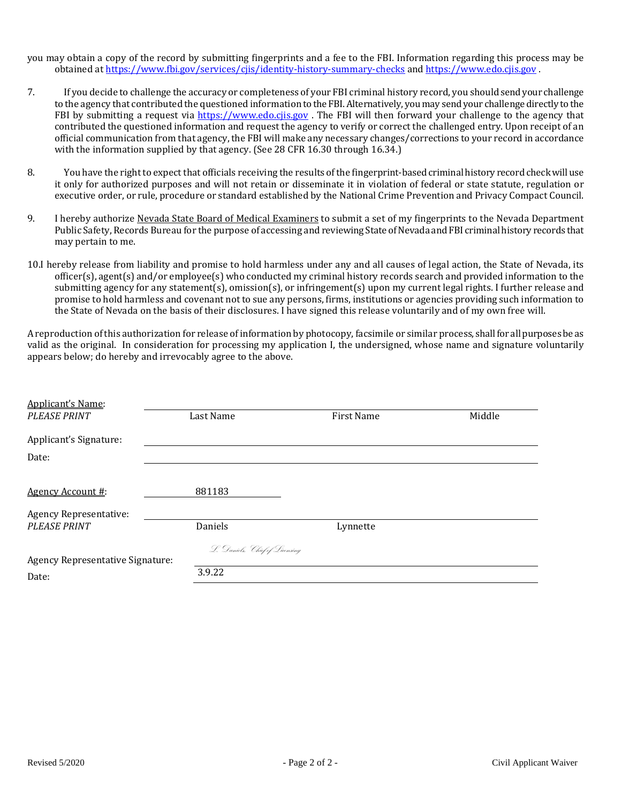you may obtain a copy of the record by submitting fingerprints and a fee to the FBI. Information regarding this process may be obtained a[t https://www.fbi.gov/services/cjis/identity-history-summary-checks](https://www.fbi.gov/services/cjis/identity-history-summary-checks) and [https://www.edo.cjis.gov](https://www.edo.cjis.gov/) .

- 7. If you decide to challenge the accuracy or completeness of your FBI criminal history record, you should send your challenge to the agency that contributed the questioned information to the FBI. Alternatively, you may send your challenge directly to the FBI by submitting a request via https://www.edo.cijs.gov. The FBI will then forward your challenge to the agency that contributed the questioned information and request the agency to verify or correct the challenged entry. Upon receipt of an official communication from that agency, the FBI will make any necessary changes/corrections to your record in accordance with the information supplied by that agency. (See 28 CFR 16.30 through 16.34.)
- 8. You have the right to expect that officials receiving the results of the fingerprint-based criminal history record check will use it only for authorized purposes and will not retain or disseminate it in violation of federal or state statute, regulation or executive order, or rule, procedure or standard established by the National Crime Prevention and Privacy Compact Council.
- 9. I hereby authorize Nevada State Board of Medical Examiners to submit a set of my fingerprints to the Nevada Department Public Safety, Records Bureau for the purpose of accessing and reviewing State of Nevada and FBI criminal history records that may pertain to me.
- 10.I hereby release from liability and promise to hold harmless under any and all causes of legal action, the State of Nevada, its officer(s), agent(s) and/or employee(s) who conducted my criminal history records search and provided information to the submitting agency for any statement(s), omission(s), or infringement(s) upon my current legal rights. I further release and promise to hold harmless and covenant not to sue any persons, firms, institutions or agencies providing such information to the State of Nevada on the basis of their disclosures. I have signed this release voluntarily and of my own free will.

A reproduction of this authorization for release of information by photocopy, facsimile or similar process, shall for all purposes be as valid as the original. In consideration for processing my application I, the undersigned, whose name and signature voluntarily appears below; do hereby and irrevocably agree to the above.

| <b>Applicant's Name:</b>         |                                |                   |        |
|----------------------------------|--------------------------------|-------------------|--------|
| <b>PLEASE PRINT</b>              | Last Name                      | <b>First Name</b> | Middle |
| Applicant's Signature:<br>Date:  |                                |                   |        |
|                                  |                                |                   |        |
| Agency Account #:                | 881183                         |                   |        |
| <b>Agency Representative:</b>    |                                |                   |        |
| <b>PLEASE PRINT</b>              | Daniels                        | Lynnette          |        |
|                                  | L. Daniels, Chief of Licensing |                   |        |
| Agency Representative Signature: |                                |                   |        |
| Date:                            | 3.9.22                         |                   |        |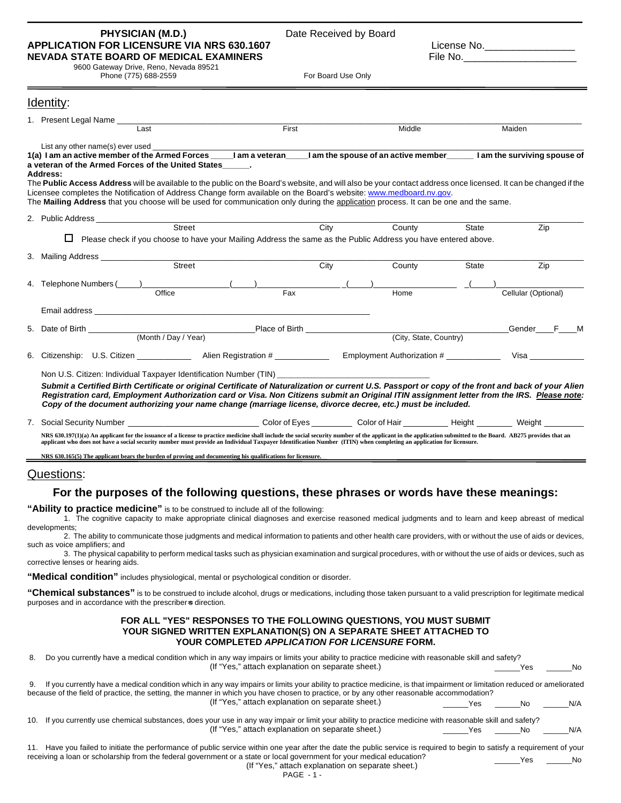## **PHYSICIAN (M.D.)** Date Received by Board<br> **FOR LICENSURE VIA NRS 630.1607** License No. **APPLICATION FOR LICENSURE VIA NRS 630.1607 NEVADA STATE BOARD OF MEDICAL EXAMINERS** File No.\_\_\_\_\_\_\_\_\_\_\_\_\_\_\_\_\_\_\_\_ 9600 Gateway Drive, Reno, Nevada 89521

**\_\_\_\_\_\_\_\_\_\_\_\_\_\_\_\_\_\_\_\_\_\_\_\_\_\_\_\_\_\_\_\_\_\_\_\_\_\_\_\_\_\_\_\_\_\_\_\_\_\_\_\_\_\_\_\_\_\_\_\_\_\_\_\_\_\_\_\_\_\_\_\_\_\_\_\_\_\_\_\_\_\_\_\_\_\_\_\_\_\_\_\_\_\_\_\_\_\_\_\_\_\_\_\_\_\_\_\_\_\_\_\_\_\_\_\_\_\_\_\_\_\_\_**

Phone (775) 688-2559

| Identity:                                                                                                                                                                                                                                                                                                                                                                                                                                                                                             |                                                                                                                |       |                            |                        |                     |
|-------------------------------------------------------------------------------------------------------------------------------------------------------------------------------------------------------------------------------------------------------------------------------------------------------------------------------------------------------------------------------------------------------------------------------------------------------------------------------------------------------|----------------------------------------------------------------------------------------------------------------|-------|----------------------------|------------------------|---------------------|
| 1. Present Legal Name ______                                                                                                                                                                                                                                                                                                                                                                                                                                                                          |                                                                                                                |       |                            |                        |                     |
| Last                                                                                                                                                                                                                                                                                                                                                                                                                                                                                                  |                                                                                                                | First | Middle                     |                        | Maiden              |
| List any other name(s) ever used<br>1(a) I am an active member of the Armed Forces I am a veteran I am the spouse of an active member I am the surviving spouse of<br>a veteran of the Armed Forces of the United States<br>Address:<br>The Public Access Address will be available to the public on the Board's website, and will also be your contact address once licensed. It can be changed if the                                                                                               |                                                                                                                |       |                            |                        |                     |
| Licensee completes the Notification of Address Change form available on the Board's website: www.medboard.nv.gov.<br>The <b>Mailing Address</b> that you choose will be used for communication only during the application process. It can be one and the same.                                                                                                                                                                                                                                       |                                                                                                                |       |                            |                        |                     |
| 2. Public Address and the control of the control of the control of the control of the control of the control o                                                                                                                                                                                                                                                                                                                                                                                        |                                                                                                                |       |                            |                        |                     |
|                                                                                                                                                                                                                                                                                                                                                                                                                                                                                                       | Street                                                                                                         | City  | County                     | State                  | Zip                 |
| $\Box$                                                                                                                                                                                                                                                                                                                                                                                                                                                                                                | Please check if you choose to have your Mailing Address the same as the Public Address you have entered above. |       |                            |                        |                     |
| 3. Mailing Address                                                                                                                                                                                                                                                                                                                                                                                                                                                                                    |                                                                                                                |       |                            |                        |                     |
|                                                                                                                                                                                                                                                                                                                                                                                                                                                                                                       | Street                                                                                                         | City  | County                     | State                  | Zip                 |
| 4. Telephone Numbers (Company)                                                                                                                                                                                                                                                                                                                                                                                                                                                                        | Office                                                                                                         | Fax   | Home                       |                        | Cellular (Optional) |
|                                                                                                                                                                                                                                                                                                                                                                                                                                                                                                       |                                                                                                                |       |                            |                        |                     |
|                                                                                                                                                                                                                                                                                                                                                                                                                                                                                                       |                                                                                                                |       |                            |                        | Gender F M          |
|                                                                                                                                                                                                                                                                                                                                                                                                                                                                                                       |                                                                                                                |       |                            | (City, State, Country) |                     |
| 6. Citizenship: U.S. Citizen _____________ Alien Registration #                                                                                                                                                                                                                                                                                                                                                                                                                                       |                                                                                                                |       | Employment Authorization # |                        | Visa                |
| Non U.S. Citizen: Individual Taxpayer Identification Number (TIN) _____________<br>Submit a Certified Birth Certificate or original Certificate of Naturalization or current U.S. Passport or copy of the front and back of your Alien<br>Registration card, Employment Authorization card or Visa. Non Citizens submit an Original ITIN assignment letter from the IRS. Please note:<br>Copy of the document authorizing your name change (marriage license, divorce decree, etc.) must be included. |                                                                                                                |       |                            |                        |                     |
| 7. Social Security Number ________________________________Color of Eyes _________ Color of Hair _________ Height ________                                                                                                                                                                                                                                                                                                                                                                             |                                                                                                                |       |                            |                        | Weiaht              |
| NRS 630.197(1)(a) An applicant for the issuance of a license to practice medicine shall include the social security number of the applicant in the application submitted to the Board. AB275 provides that an<br>applicant who does not have a social security number must provide an Individual Taxpayer Identification Number (ITIN) when completing an application for licensure.                                                                                                                  |                                                                                                                |       |                            |                        |                     |

**NRS 630.165(5) The applicant bears the burden of proving and documenting his qualifications for licensure.** 

#### Questions:

#### **For the purposes of the following questions, these phrases or words have these meanings:**

**"Ability to practice medicine"** is to be construed to include all of the following:

1. The cognitive capacity to make appropriate clinical diagnoses and exercise reasoned medical judgments and to learn and keep abreast of medical developments;

2. The ability to communicate those judgments and medical information to patients and other health care providers, with or without the use of aids or devices, such as voice amplifiers; and

3. The physical capability to perform medical tasks such as physician examination and surgical procedures, with or without the use of aids or devices, such as corrective lenses or hearing aids.

**"Medical condition"** includes physiological, mental or psychological condition or disorder.

**"Chemical substances"** is to be construed to include alcohol, drugs or medications, including those taken pursuant to a valid prescription for legitimate medical purposes and in accordance with the prescriber-s direction.

#### **FOR ALL "YES" RESPONSES TO THE FOLLOWING QUESTIONS, YOU MUST SUBMIT YOUR SIGNED WRITTEN EXPLANATION(S) ON A SEPARATE SHEET ATTACHED TO YOUR COMPLETED** *APPLICATION FOR LICENSURE* **FORM.**

| 8.  | Do you currently have a medical condition which in any way impairs or limits your ability to practice medicine with reasonable skill and safety?<br>(If "Yes," attach explanation on separate sheet.)                                                                                                                |                   | Yes | No  |
|-----|----------------------------------------------------------------------------------------------------------------------------------------------------------------------------------------------------------------------------------------------------------------------------------------------------------------------|-------------------|-----|-----|
|     | If you currently have a medical condition which in any way impairs or limits your ability to practice medicine, is that impairment or limitation reduced or ameliorated<br>because of the field of practice, the setting, the manner in which you have chosen to practice, or by any other reasonable accommodation? |                   |     |     |
|     | (If "Yes," attach explanation on separate sheet.)                                                                                                                                                                                                                                                                    | Yes.              | No. | N/A |
| 10. | If you currently use chemical substances, does your use in any way impair or limit your ability to practice medicine with reasonable skill and safety?                                                                                                                                                               |                   |     |     |
|     | (If "Yes," attach explanation on separate sheet.)                                                                                                                                                                                                                                                                    | <b>Parade Yes</b> | No. | N/A |
|     | Have you failed to initiate the performance of public service within one year after the date the public service is required to begin to satisfy a requirement of your                                                                                                                                                |                   |     |     |

quired to begin to satisfy a requirement of your receiving a loan or scholarship from the federal government or a state or local government for your medical education? (If "Yes," attach explanation on separate sheet.) \_\_\_\_\_\_Yes \_\_\_\_\_\_No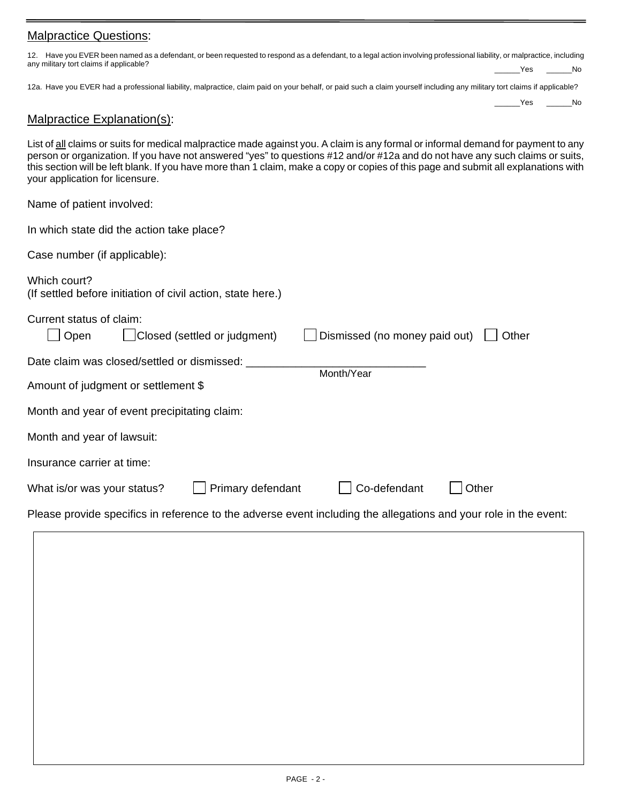#### Malpractice Questions:

| 12. Have you EVER been named as a defendant, or been requested to respond as a defendant, to a legal action involving professional liability, or malpractice, including |     |
|-------------------------------------------------------------------------------------------------------------------------------------------------------------------------|-----|
| any military tort claims if applicable?                                                                                                                                 | No. |

12a. Have you EVER had a professional liability, malpractice, claim paid on your behalf, or paid such a claim yourself including any military tort claims if applicable?

Yes No

### Malpractice Explanation(s):

List of all claims or suits for medical malpractice made against you. A claim is any formal or informal demand for payment to any person or organization. If you have not answered "yes" to questions #12 and/or #12a and do not have any such claims or suits, this section will be left blank. If you have more than 1 claim, make a copy or copies of this page and submit all explanations with your application for licensure.

Name of patient involved:

| In which state did the action take place?                                                                        |  |  |  |  |  |  |  |  |
|------------------------------------------------------------------------------------------------------------------|--|--|--|--|--|--|--|--|
| Case number (if applicable):                                                                                     |  |  |  |  |  |  |  |  |
| Which court?<br>(If settled before initiation of civil action, state here.)                                      |  |  |  |  |  |  |  |  |
| Current status of claim:<br>Closed (settled or judgment)<br>Dismissed (no money paid out)<br>Open<br>Other       |  |  |  |  |  |  |  |  |
| Date claim was closed/settled or dismissed:                                                                      |  |  |  |  |  |  |  |  |
| Month/Year<br>Amount of judgment or settlement \$                                                                |  |  |  |  |  |  |  |  |
| Month and year of event precipitating claim:                                                                     |  |  |  |  |  |  |  |  |
| Month and year of lawsuit:                                                                                       |  |  |  |  |  |  |  |  |
| Insurance carrier at time:                                                                                       |  |  |  |  |  |  |  |  |
| Co-defendant<br>Primary defendant<br>Other<br>What is/or was your status?                                        |  |  |  |  |  |  |  |  |
| Please provide specifics in reference to the adverse event including the allegations and your role in the event: |  |  |  |  |  |  |  |  |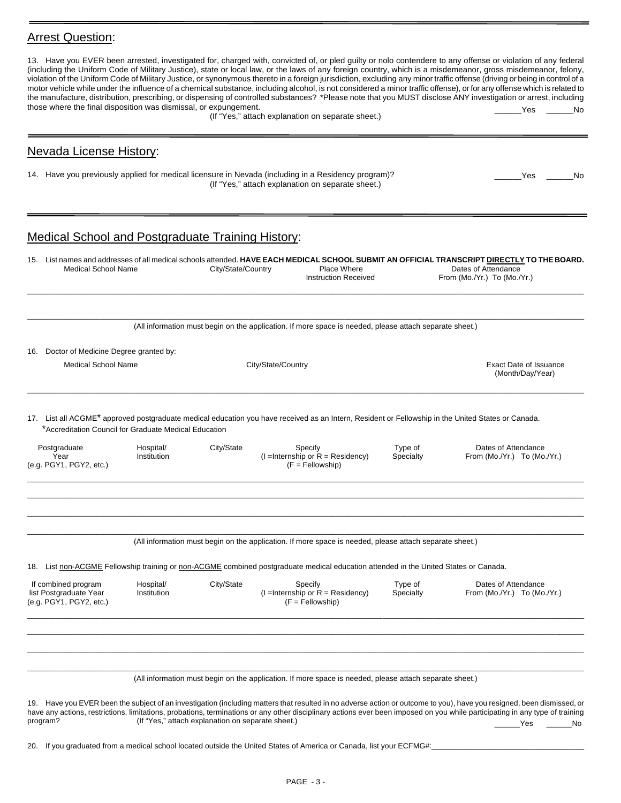### **Arrest Question:**

| those where the final disposition was dismissal, or expungement.<br>Yes<br>(If "Yes," attach explanation on separate sheet.)<br><b>Nevada License History:</b><br>14. Have you previously applied for medical licensure in Nevada (including in a Residency program)?<br>Yes<br>(If "Yes," attach explanation on separate sheet.)<br><b>Medical School and Postgraduate Training History:</b>                                                                                                                                                          | No<br>No. |
|--------------------------------------------------------------------------------------------------------------------------------------------------------------------------------------------------------------------------------------------------------------------------------------------------------------------------------------------------------------------------------------------------------------------------------------------------------------------------------------------------------------------------------------------------------|-----------|
|                                                                                                                                                                                                                                                                                                                                                                                                                                                                                                                                                        |           |
|                                                                                                                                                                                                                                                                                                                                                                                                                                                                                                                                                        |           |
|                                                                                                                                                                                                                                                                                                                                                                                                                                                                                                                                                        |           |
|                                                                                                                                                                                                                                                                                                                                                                                                                                                                                                                                                        |           |
| 15. List names and addresses of all medical schools attended. HAVE EACH MEDICAL SCHOOL SUBMIT AN OFFICIAL TRANSCRIPT DIRECTLY TO THE BOARD.<br><b>Medical School Name</b><br>City/State/Country<br>Place Where<br>Dates of Attendance<br><b>Instruction Received</b><br>From (Mo./Yr.) To (Mo./Yr.)                                                                                                                                                                                                                                                    |           |
| (All information must begin on the application. If more space is needed, please attach separate sheet.)                                                                                                                                                                                                                                                                                                                                                                                                                                                |           |
| 16. Doctor of Medicine Degree granted by:<br><b>Medical School Name</b><br>City/State/Country<br><b>Exact Date of Issuance</b><br>(Month/Day/Year)                                                                                                                                                                                                                                                                                                                                                                                                     |           |
| 17. List all ACGME <sup>*</sup> approved postgraduate medical education you have received as an Intern, Resident or Fellowship in the United States or Canada.<br>*Accreditation Council for Graduate Medical Education                                                                                                                                                                                                                                                                                                                                |           |
| Type of<br>Dates of Attendance<br>Postgraduate<br>Hospital/<br>City/State<br>Specify<br>$(I = Internship$ or $R = Residency)$<br>Year<br>Institution<br>Specialty<br>From (Mo./Yr.) To (Mo./Yr.)<br>(e.g. PGY1, PGY2, etc.)<br>$(F = Fellowship)$                                                                                                                                                                                                                                                                                                      |           |
| (All information must begin on the application. If more space is needed, please attach separate sheet.)                                                                                                                                                                                                                                                                                                                                                                                                                                                |           |
| 18. List non-ACGME Fellowship training or non-ACGME combined postgraduate medical education attended in the United States or Canada.<br>If combined program<br>City/State<br>Type of<br>Hospital/<br>Dates of Attendance<br>Specify<br>list Postgraduate Year<br>$(I = Internship$ or $R = Residency)$<br>Specialty<br>Institution<br>From (Mo./Yr.) To (Mo./Yr.)<br>(e.g. PGY1, PGY2, etc.)<br>$(F = Fellowship)$                                                                                                                                     |           |
| (All information must begin on the application. If more space is needed, please attach separate sheet.)                                                                                                                                                                                                                                                                                                                                                                                                                                                |           |
| 19. Have you EVER been the subject of an investigation (including matters that resulted in no adverse action or outcome to you), have you resigned, been dismissed, or<br>have any actions, restrictions, limitations, probations, terminations or any other disciplinary actions ever been imposed on you while participating in any type of training<br>(If "Yes," attach explanation on separate sheet.)<br>program?<br>Yes<br>20. If you graduated from a medical school located outside the United States of America or Canada, list your ECFMG#: | No        |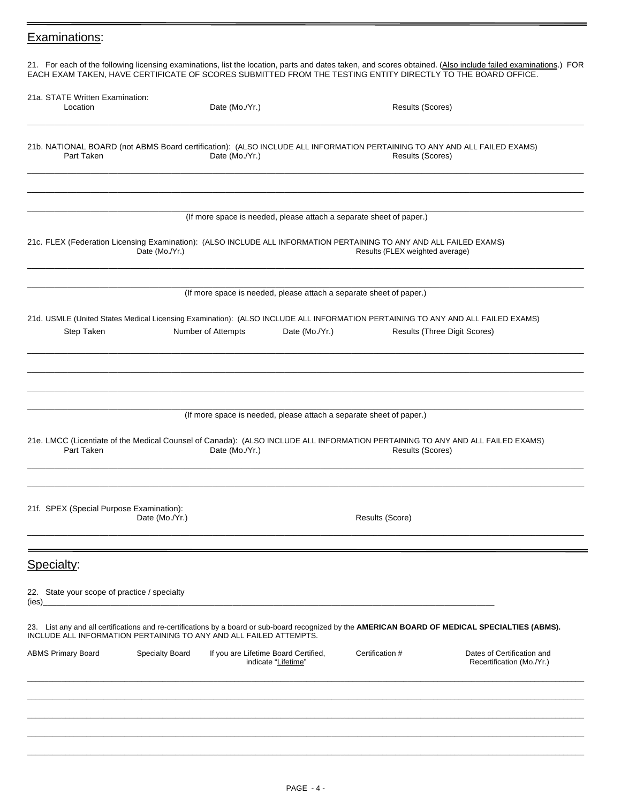### Examinations:

21. For each of the following licensing examinations, list the location, parts and dates taken, and scores obtained. (Also include failed examinations.) FOR EACH EXAM TAKEN, HAVE CERTIFICATE OF SCORES SUBMITTED FROM THE TESTING ENTITY DIRECTLY TO THE BOARD OFFICE.

|       | 21a. STATE Written Examination:<br>Location                |                        | Date (Mo./Yr.)                                                                                                                                                                                                          |                 | Results (Scores)                    |                                                         |
|-------|------------------------------------------------------------|------------------------|-------------------------------------------------------------------------------------------------------------------------------------------------------------------------------------------------------------------------|-----------------|-------------------------------------|---------------------------------------------------------|
|       | Part Taken                                                 |                        | 21b. NATIONAL BOARD (not ABMS Board certification): (ALSO INCLUDE ALL INFORMATION PERTAINING TO ANY AND ALL FAILED EXAMS)<br>Date (Mo./Yr.)                                                                             |                 | Results (Scores)                    |                                                         |
|       |                                                            | Date (Mo./Yr.)         | (If more space is needed, please attach a separate sheet of paper.)<br>21c. FLEX (Federation Licensing Examination): (ALSO INCLUDE ALL INFORMATION PERTAINING TO ANY AND ALL FAILED EXAMS)                              |                 | Results (FLEX weighted average)     |                                                         |
|       |                                                            |                        | (If more space is needed, please attach a separate sheet of paper.)                                                                                                                                                     |                 |                                     |                                                         |
|       | Step Taken                                                 |                        | 21d. USMLE (United States Medical Licensing Examination): (ALSO INCLUDE ALL INFORMATION PERTAINING TO ANY AND ALL FAILED EXAMS)<br>Number of Attempts<br>Date (Mo./Yr.)                                                 |                 | <b>Results (Three Digit Scores)</b> |                                                         |
|       | Part Taken                                                 |                        | (If more space is needed, please attach a separate sheet of paper.)<br>21e. LMCC (Licentiate of the Medical Counsel of Canada): (ALSO INCLUDE ALL INFORMATION PERTAINING TO ANY AND ALL FAILED EXAMS)<br>Date (Mo./Yr.) |                 | Results (Scores)                    |                                                         |
|       | 21f. SPEX (Special Purpose Examination):                   | Date (Mo./Yr.)         |                                                                                                                                                                                                                         | Results (Score) |                                     |                                                         |
|       | Specialty:<br>22. State your scope of practice / specialty |                        |                                                                                                                                                                                                                         |                 |                                     |                                                         |
| (ies) |                                                            |                        | 23. List any and all certifications and re-certifications by a board or sub-board recognized by the AMERICAN BOARD OF MEDICAL SPECIALTIES (ABMS).<br>INCLUDE ALL INFORMATION PERTAINING TO ANY AND ALL FAILED ATTEMPTS. |                 |                                     |                                                         |
|       | <b>ABMS Primary Board</b>                                  | <b>Specialty Board</b> | If you are Lifetime Board Certified,<br>indicate "Lifetime"                                                                                                                                                             | Certification # |                                     | Dates of Certification and<br>Recertification (Mo./Yr.) |
|       |                                                            |                        |                                                                                                                                                                                                                         |                 |                                     |                                                         |
|       |                                                            |                        |                                                                                                                                                                                                                         |                 |                                     |                                                         |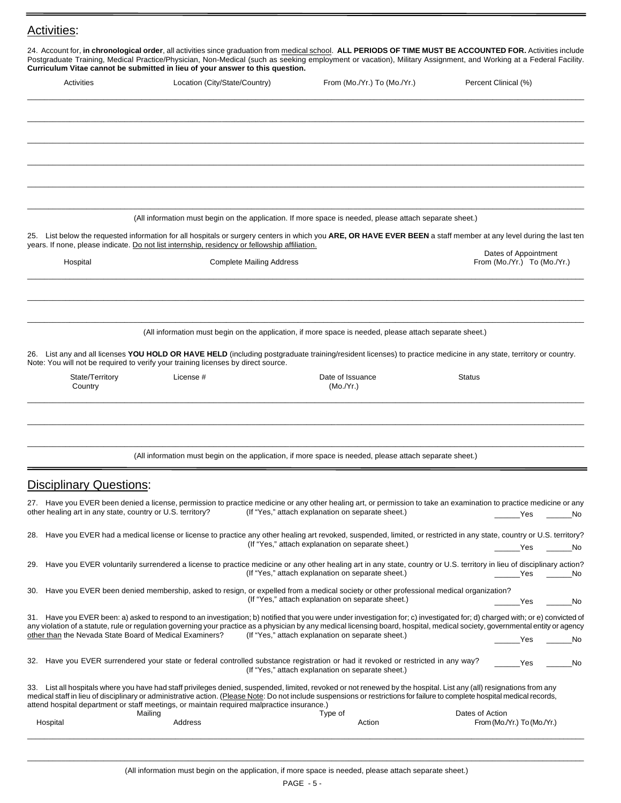## Activities:

| Curriculum Vitae cannot be submitted in lieu of your answer to this question.<br>Activities | Location (City/State/Country)                                                                                                                                                                                                                                            |                                 | From (Mo./Yr.) To (Mo./Yr.)                       |        | Percent Clinical (%)             |
|---------------------------------------------------------------------------------------------|--------------------------------------------------------------------------------------------------------------------------------------------------------------------------------------------------------------------------------------------------------------------------|---------------------------------|---------------------------------------------------|--------|----------------------------------|
|                                                                                             |                                                                                                                                                                                                                                                                          |                                 |                                                   |        |                                  |
|                                                                                             |                                                                                                                                                                                                                                                                          |                                 |                                                   |        |                                  |
|                                                                                             |                                                                                                                                                                                                                                                                          |                                 |                                                   |        |                                  |
|                                                                                             |                                                                                                                                                                                                                                                                          |                                 |                                                   |        |                                  |
|                                                                                             |                                                                                                                                                                                                                                                                          |                                 |                                                   |        |                                  |
|                                                                                             |                                                                                                                                                                                                                                                                          |                                 |                                                   |        |                                  |
|                                                                                             | (All information must begin on the application. If more space is needed, please attach separate sheet.)                                                                                                                                                                  |                                 |                                                   |        |                                  |
|                                                                                             | 25. List below the requested information for all hospitals or surgery centers in which you ARE, OR HAVE EVER BEEN a staff member at any level during the last ten                                                                                                        |                                 |                                                   |        |                                  |
|                                                                                             | years. If none, please indicate. Do not list internship, residency or fellowship affiliation.                                                                                                                                                                            |                                 |                                                   |        | Dates of Appointment             |
| Hospital                                                                                    |                                                                                                                                                                                                                                                                          | <b>Complete Mailing Address</b> |                                                   |        | From (Mo./Yr.) To (Mo./Yr.)      |
|                                                                                             |                                                                                                                                                                                                                                                                          |                                 |                                                   |        |                                  |
|                                                                                             |                                                                                                                                                                                                                                                                          |                                 |                                                   |        |                                  |
|                                                                                             | (All information must begin on the application, if more space is needed, please attach separate sheet.)                                                                                                                                                                  |                                 |                                                   |        |                                  |
|                                                                                             |                                                                                                                                                                                                                                                                          |                                 |                                                   |        |                                  |
|                                                                                             | 26. List any and all licenses YOU HOLD OR HAVE HELD (including postgraduate training/resident licenses) to practice medicine in any state, territory or country.<br>Note: You will not be required to verify your training licenses by direct source.                    |                                 |                                                   |        |                                  |
| State/Territory<br>Country                                                                  | License #                                                                                                                                                                                                                                                                |                                 | Date of Issuance<br>(Mo./Yr.)                     | Status |                                  |
|                                                                                             |                                                                                                                                                                                                                                                                          |                                 |                                                   |        |                                  |
|                                                                                             |                                                                                                                                                                                                                                                                          |                                 |                                                   |        |                                  |
|                                                                                             |                                                                                                                                                                                                                                                                          |                                 |                                                   |        |                                  |
|                                                                                             | (All information must begin on the application, if more space is needed, please attach separate sheet.)                                                                                                                                                                  |                                 |                                                   |        |                                  |
|                                                                                             |                                                                                                                                                                                                                                                                          |                                 |                                                   |        |                                  |
| <b>Disciplinary Questions:</b>                                                              |                                                                                                                                                                                                                                                                          |                                 |                                                   |        |                                  |
| other healing art in any state, country or U.S. territory?                                  | 27. Have you EVER been denied a license, permission to practice medicine or any other healing art, or permission to take an examination to practice medicine or any                                                                                                      |                                 | (If "Yes," attach explanation on separate sheet.) |        | Yes<br>No                        |
|                                                                                             |                                                                                                                                                                                                                                                                          |                                 |                                                   |        |                                  |
|                                                                                             | 28. Have you EVER had a medical license or license to practice any other healing art revoked, suspended, limited, or restricted in any state, country or U.S. territory?                                                                                                 |                                 | (If "Yes," attach explanation on separate sheet.) |        | _______Yes<br><b>Solution</b> No |
| 29.                                                                                         | Have you EVER voluntarily surrendered a license to practice medicine or any other healing art in any state, country or U.S. territory in lieu of disciplinary action?                                                                                                    |                                 |                                                   |        |                                  |
|                                                                                             |                                                                                                                                                                                                                                                                          |                                 | (If "Yes," attach explanation on separate sheet.) |        | Yes<br>No                        |
| 30.                                                                                         | Have you EVER been denied membership, asked to resign, or expelled from a medical society or other professional medical organization?                                                                                                                                    |                                 | (If "Yes," attach explanation on separate sheet.) |        | Yes<br>No                        |
|                                                                                             |                                                                                                                                                                                                                                                                          |                                 |                                                   |        |                                  |
|                                                                                             | 31. Have you EVER been: a) asked to respond to an investigation; b) notified that you were under investigation for; c) investigated for; d) charged with; or e) convicted of                                                                                             |                                 |                                                   |        |                                  |
|                                                                                             | any violation of a statute, rule or regulation governing your practice as a physician by any medical licensing board, hospital, medical society, governmental entity or agency                                                                                           |                                 | (If "Yes," attach explanation on separate sheet.) |        |                                  |
|                                                                                             |                                                                                                                                                                                                                                                                          |                                 |                                                   |        | Yes                              |
| other than the Nevada State Board of Medical Examiners?                                     | 32. Have you EVER surrendered your state or federal controlled substance registration or had it revoked or restricted in any way?                                                                                                                                        |                                 | (If "Yes," attach explanation on separate sheet.) |        | Yes                              |
|                                                                                             | 33. List all hospitals where you have had staff privileges denied, suspended, limited, revoked or not renewed by the hospital. List any (all) resignations from any                                                                                                      |                                 |                                                   |        | a No<br>No                       |
|                                                                                             | medical staff in lieu of disciplinary or administrative action. (Please Note: Do not include suspensions or restrictions for failure to complete hospital medical records,<br>attend hospital department or staff meetings, or maintain required malpractice insurance.) |                                 |                                                   |        |                                  |

\_\_\_\_\_\_\_\_\_\_\_\_\_\_\_\_\_\_\_\_\_\_\_\_\_\_\_\_\_\_\_\_\_\_\_\_\_\_\_\_\_\_\_\_\_\_\_\_\_\_\_\_\_\_\_\_\_\_\_\_\_\_\_\_\_\_\_\_\_\_\_\_\_\_\_\_\_\_\_\_\_\_\_\_\_\_\_\_\_\_\_\_\_\_\_\_\_\_\_\_\_\_\_\_\_\_\_\_\_\_\_\_\_\_\_\_\_\_\_\_\_\_\_\_\_\_\_\_\_\_\_\_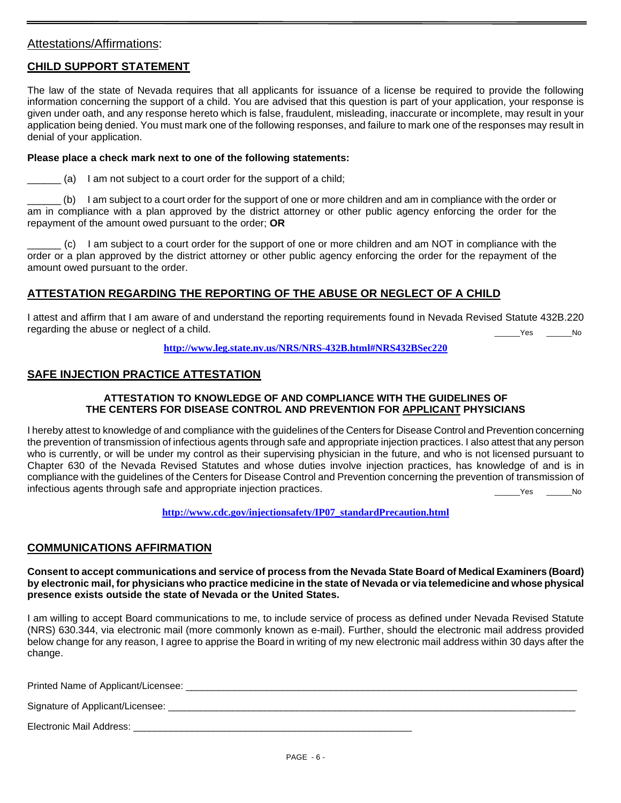#### Attestations/Affirmations:

#### **CHILD SUPPORT STATEMENT**

The law of the state of Nevada requires that all applicants for issuance of a license be required to provide the following information concerning the support of a child. You are advised that this question is part of your application, your response is given under oath, and any response hereto which is false, fraudulent, misleading, inaccurate or incomplete, may result in your application being denied. You must mark one of the following responses, and failure to mark one of the responses may result in denial of your application.

#### **Please place a check mark next to one of the following statements:**

 $\Box$  (a) I am not subject to a court order for the support of a child;

\_\_\_\_\_\_ (b) I am subject to a court order for the support of one or more children and am in compliance with the order or am in compliance with a plan approved by the district attorney or other public agency enforcing the order for the repayment of the amount owed pursuant to the order; **OR**

\_\_\_\_\_\_ (c) I am subject to a court order for the support of one or more children and am NOT in compliance with the order or a plan approved by the district attorney or other public agency enforcing the order for the repayment of the amount owed pursuant to the order.

#### **ATTESTATION REGARDING THE REPORTING OF THE ABUSE OR NEGLECT OF A CHILD**

I attest and affirm that I am aware of and understand the reporting requirements found in Nevada Revised Statute 432B.220 regarding the abuse or neglect of a child. Yes No

**<http://www.leg.state.nv.us/NRS/NRS-432B.html#NRS432BSec220>**

#### **SAFE INJECTION PRACTICE ATTESTATION**

#### **ATTESTATION TO KNOWLEDGE OF AND COMPLIANCE WITH THE GUIDELINES OF THE CENTERS FOR DISEASE CONTROL AND PREVENTION FOR APPLICANT PHYSICIANS**

I hereby attest to knowledge of and compliance with the guidelines of the Centers for Disease Control and Prevention concerning the prevention of transmission of infectious agents through safe and appropriate injection practices. I also attest that any person who is currently, or will be under my control as their supervising physician in the future, and who is not licensed pursuant to Chapter 630 of the Nevada Revised Statutes and whose duties involve injection practices, has knowledge of and is in compliance with the guidelines of the Centers for Disease Control and Prevention concerning the prevention of transmission of infectious agents through safe and appropriate injection practices. \_\_\_\_\_\_Yes \_\_\_\_\_\_No

**[http://www.cdc.gov/injectionsafety/IP07\\_standardPrecaution.html](http://www.cdc.gov/injectionsafety/IP07_standardPrecaution.html)**

#### **COMMUNICATIONS AFFIRMATION**

**Consent to accept communications and service of process from the Nevada State Board of Medical Examiners (Board) by electronic mail, for physicians who practice medicine in the state of Nevada or via telemedicine and whose physical presence exists outside the state of Nevada or the United States.**

I am willing to accept Board communications to me, to include service of process as defined under Nevada Revised Statute (NRS) 630.344, via electronic mail (more commonly known as e-mail). Further, should the electronic mail address provided below change for any reason, I agree to apprise the Board in writing of my new electronic mail address within 30 days after the change.

Printed Name of Applicant/Licensee: \_\_\_\_\_\_\_\_\_\_\_\_\_\_\_\_\_\_\_\_\_\_\_\_\_\_\_\_\_\_\_\_\_\_\_\_\_\_\_\_\_\_\_\_\_\_\_\_\_\_\_\_\_\_\_\_\_\_\_\_\_\_\_\_\_\_\_\_\_\_\_\_\_

Signature of Applicant/Licensee:

Electronic Mail Address: \_\_\_\_\_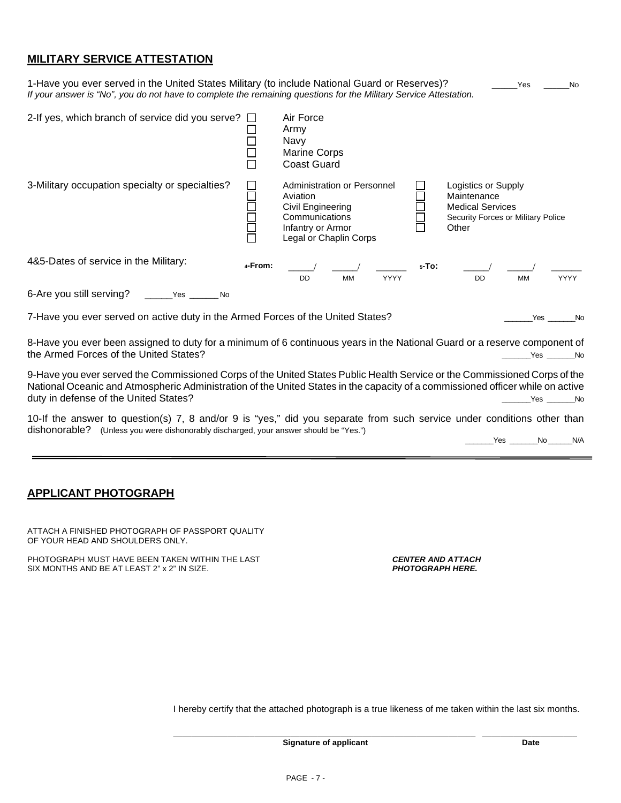#### **MILITARY SERVICE ATTESTATION**

| 1-Have you ever served in the United States Military (to include National Guard or Reserves)?<br>If your answer is "No", you do not have to complete the remaining questions for the Military Service Attestation. |         |                                                                                                                               |      |          | Yes                                                                                                          | No.         |
|--------------------------------------------------------------------------------------------------------------------------------------------------------------------------------------------------------------------|---------|-------------------------------------------------------------------------------------------------------------------------------|------|----------|--------------------------------------------------------------------------------------------------------------|-------------|
| 2-If yes, which branch of service did you serve? $\square$                                                                                                                                                         |         | Air Force<br>Army<br>Navy<br>Marine Corps<br><b>Coast Guard</b>                                                               |      |          |                                                                                                              |             |
| 3-Military occupation specialty or specialties?                                                                                                                                                                    |         | Administration or Personnel<br>Aviation<br>Civil Engineering<br>Communications<br>Infantry or Armor<br>Legal or Chaplin Corps |      |          | Logistics or Supply<br>Maintenance<br><b>Medical Services</b><br>Security Forces or Military Police<br>Other |             |
| 4&5-Dates of service in the Military:                                                                                                                                                                              | 4-From: | <b>MM</b><br><b>DD</b>                                                                                                        | YYYY | $5-TO$ : | <b>MM</b><br><b>DD</b>                                                                                       | <b>YYYY</b> |
| 6-Are you still serving?<br>Yes<br>N <sub>0</sub>                                                                                                                                                                  |         |                                                                                                                               |      |          |                                                                                                              |             |
| 7-Have you ever served on active duty in the Armed Forces of the United States?                                                                                                                                    |         |                                                                                                                               |      |          | Yes                                                                                                          | No          |

8-Have you ever been assigned to duty for a minimum of 6 continuous years in the National Guard or a reserve component of the Armed Forces of the United States? **At a set of the United States** of the United States of the United States of the United States of the United States of the United States of the United States of the United States of t

9-Have you ever served the Commissioned Corps of the United States Public Health Service or the Commissioned Corps of the National Oceanic and Atmospheric Administration of the United States in the capacity of a commissioned officer while on active duty in defense of the United States? example and the United States of the United States of the United States of the United States of the United States of the United States of the United States of the United States of the

10-If the answer to question(s) 7, 8 and/or 9 is "yes," did you separate from such service under conditions other than dishonorable? (Unless you were dishonorably discharged, your answer should be "Yes.") \_\_\_\_\_\_\_Yes \_\_\_\_\_\_\_No \_\_\_\_\_\_N/A

#### **APPLICANT PHOTOGRAPH**

ATTACH A FINISHED PHOTOGRAPH OF PASSPORT QUALITY OF YOUR HEAD AND SHOULDERS ONLY.

PHOTOGRAPH MUST HAVE BEEN TAKEN WITHIN THE LAST **CHALL CONTER AND ATTACH**<br>SIX MONTHS AND BE AT LEAST 2" x 2" IN SIZE. SIX MONTHS AND BE AT LEAST 2" x 2" IN SIZE.

I hereby certify that the attached photograph is a true likeness of me taken within the last six months.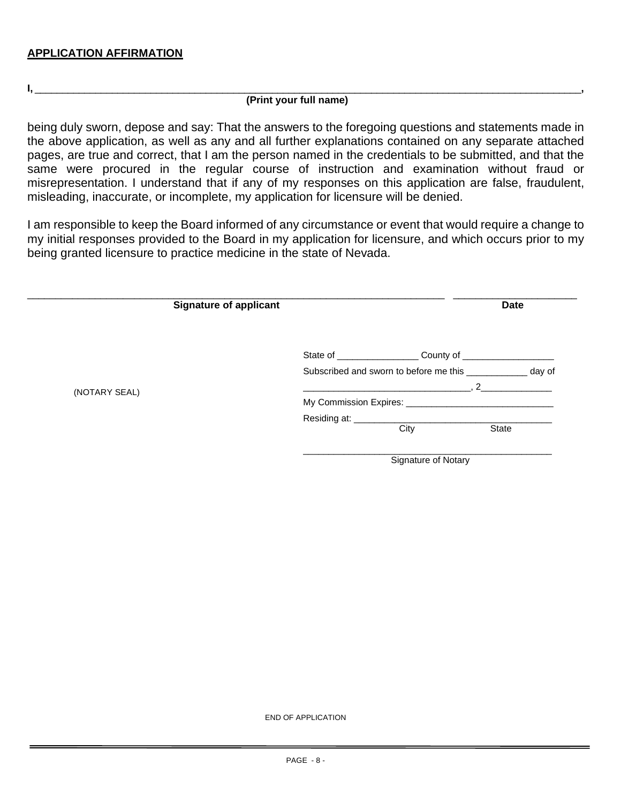#### **I,** \_\_\_\_\_\_\_\_\_\_\_\_\_\_\_\_\_\_\_\_\_\_\_\_\_\_\_\_\_\_\_\_\_\_\_\_\_\_\_\_\_\_\_\_\_\_\_\_\_\_\_\_\_\_\_\_\_\_\_\_\_\_\_\_\_\_\_\_\_\_\_\_\_\_\_\_\_\_\_\_\_\_\_\_\_\_\_\_\_\_\_\_\_\_\_\_\_\_\_**, (Print your full name)**

being duly sworn, depose and say: That the answers to the foregoing questions and statements made in the above application, as well as any and all further explanations contained on any separate attached pages, are true and correct, that I am the person named in the credentials to be submitted, and that the same were procured in the regular course of instruction and examination without fraud or misrepresentation. I understand that if any of my responses on this application are false, fraudulent, misleading, inaccurate, or incomplete, my application for licensure will be denied.

I am responsible to keep the Board informed of any circumstance or event that would require a change to my initial responses provided to the Board in my application for licensure, and which occurs prior to my being granted licensure to practice medicine in the state of Nevada.

|               | <b>Signature of applicant</b> |                              |                                                     | <b>Date</b>  |        |
|---------------|-------------------------------|------------------------------|-----------------------------------------------------|--------------|--------|
|               |                               |                              |                                                     |              |        |
|               |                               |                              | Subscribed and sworn to before me this ____________ |              | day of |
| (NOTARY SEAL) |                               |                              | $\sim$ 2                                            |              |        |
|               |                               |                              |                                                     |              |        |
|               |                               | Residing at: _______________ |                                                     |              |        |
|               |                               |                              | City                                                | <b>State</b> |        |
|               |                               |                              | Signature of Notary                                 |              |        |

END OF APPLICATION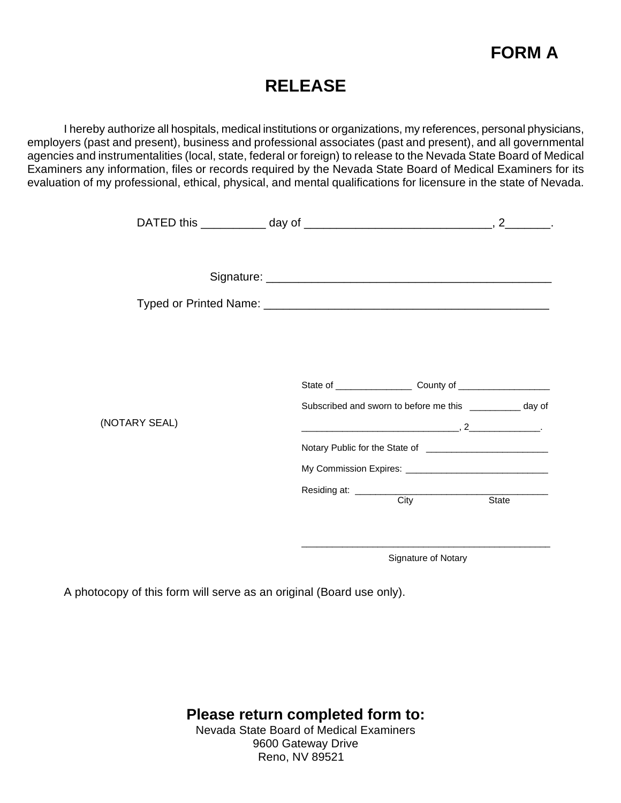

## **RELEASE**

I hereby authorize all hospitals, medical institutions or organizations, my references, personal physicians, employers (past and present), business and professional associates (past and present), and all governmental agencies and instrumentalities (local, state, federal or foreign) to release to the Nevada State Board of Medical Examiners any information, files or records required by the Nevada State Board of Medical Examiners for its evaluation of my professional, ethical, physical, and mental qualifications for licensure in the state of Nevada.

|               | Subscribed and sworn to before me this ___________ day of |  |
|---------------|-----------------------------------------------------------|--|
| (NOTARY SEAL) |                                                           |  |
|               |                                                           |  |
|               |                                                           |  |
|               | Residing at: <u>City</u> City State                       |  |
|               |                                                           |  |
|               |                                                           |  |
|               |                                                           |  |

Signature of Notary

A photocopy of this form will serve as an original (Board use only).

**Please return completed form to:** Nevada State Board of Medical Examiners 9600 Gateway Drive Reno, NV 89521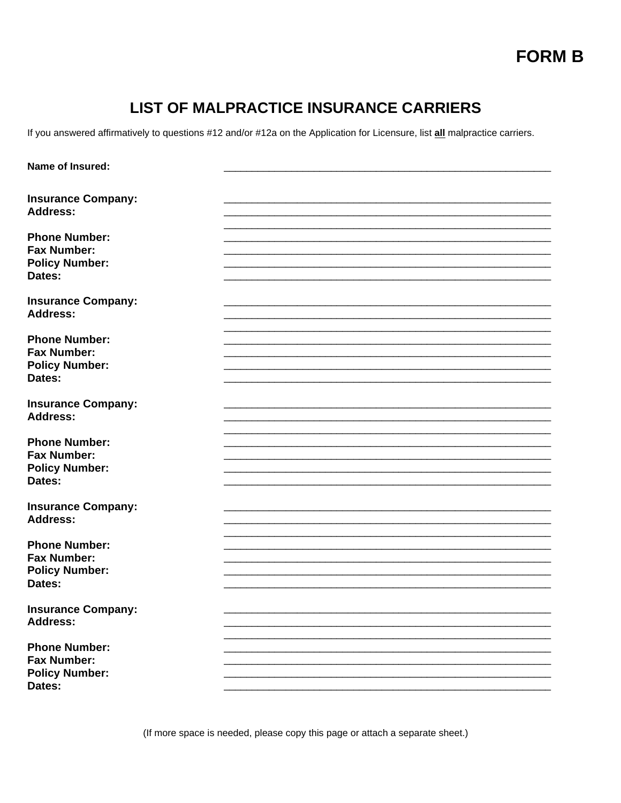# **FORM B**

## **LIST OF MALPRACTICE INSURANCE CARRIERS**

If you answered affirmatively to questions #12 and/or #12a on the Application for Licensure, list all malpractice carriers.

| Name of Insured:                             |  |
|----------------------------------------------|--|
|                                              |  |
|                                              |  |
| <b>Insurance Company:</b>                    |  |
| <b>Address:</b>                              |  |
|                                              |  |
| <b>Phone Number:</b>                         |  |
| <b>Fax Number:</b>                           |  |
| <b>Policy Number:</b>                        |  |
| Dates:                                       |  |
|                                              |  |
| <b>Insurance Company:</b>                    |  |
| <b>Address:</b>                              |  |
|                                              |  |
| <b>Phone Number:</b>                         |  |
| <b>Fax Number:</b>                           |  |
| <b>Policy Number:</b>                        |  |
| Dates:                                       |  |
|                                              |  |
|                                              |  |
| <b>Insurance Company:</b><br><b>Address:</b> |  |
|                                              |  |
|                                              |  |
| <b>Phone Number:</b>                         |  |
| <b>Fax Number:</b>                           |  |
| <b>Policy Number:</b>                        |  |
| Dates:                                       |  |
|                                              |  |
| <b>Insurance Company:</b>                    |  |
| <b>Address:</b>                              |  |
|                                              |  |
| <b>Phone Number:</b>                         |  |
| <b>Fax Number:</b>                           |  |
| <b>Policy Number:</b>                        |  |
| Dates:                                       |  |
|                                              |  |
| <b>Insurance Company:</b>                    |  |
| <b>Address:</b>                              |  |
|                                              |  |
| <b>Phone Number:</b>                         |  |
| <b>Fax Number:</b>                           |  |
|                                              |  |
| <b>Policy Number:</b>                        |  |
| Dates:                                       |  |

(If more space is needed, please copy this page or attach a separate sheet.)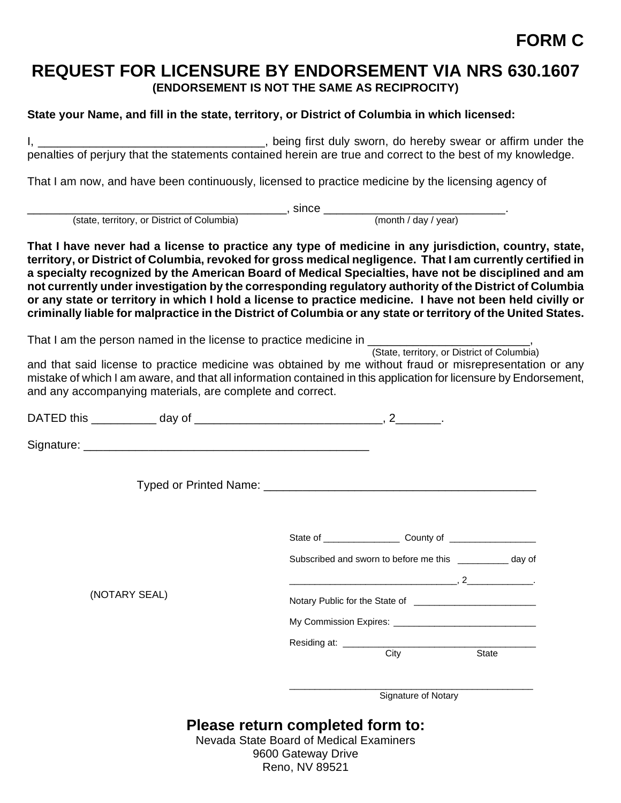## **REQUEST FOR LICENSURE BY ENDORSEMENT VIA NRS 630.1607 (ENDORSEMENT IS NOT THE SAME AS RECIPROCITY)**

### **State your Name, and fill in the state, territory, or District of Columbia in which licensed:**

I, \_\_\_\_\_\_\_\_\_\_\_\_\_\_\_\_\_\_\_\_\_\_\_\_\_\_\_\_\_\_\_\_\_\_\_, being first duly sworn, do hereby swear or affirm under the penalties of perjury that the statements contained herein are true and correct to the best of my knowledge.

That I am now, and have been continuously, licensed to practice medicine by the licensing agency of

(state, territory, or District of Columbia) <br>
(month / day / year)

**That I have never had a license to practice any type of medicine in any jurisdiction, country, state, territory, or District of Columbia, revoked for gross medical negligence. That I am currently certified in a specialty recognized by the American Board of Medical Specialties, have not be disciplined and am not currently under investigation by the corresponding regulatory authority of the District of Columbia or any state or territory in which I hold a license to practice medicine. I have not been held civilly or criminally liable for malpractice in the District of Columbia or any state or territory of the United States.**

That I am the person named in the license to practice medicine in \_\_\_\_\_\_\_\_\_\_\_\_\_\_\_\_\_\_\_\_\_\_\_\_\_\_\_\_\_\_\_\_,<br>(State, territory, or District of Columbia)

and that said license to practice medicine was obtained by me without fraud or misrepresentation or any mistake of which I am aware, and that all information contained in this application for licensure by Endorsement, and any accompanying materials, are complete and correct.

|               | Subscribed and sworn to before me this ______________ day of |  |
|---------------|--------------------------------------------------------------|--|
|               |                                                              |  |
| (NOTARY SEAL) |                                                              |  |
|               |                                                              |  |
|               | Residing at: <u>City</u> City State                          |  |
|               | Signature of Notary                                          |  |

**Please return completed form to:**

Nevada State Board of Medical Examiners 9600 Gateway Drive Reno, NV 89521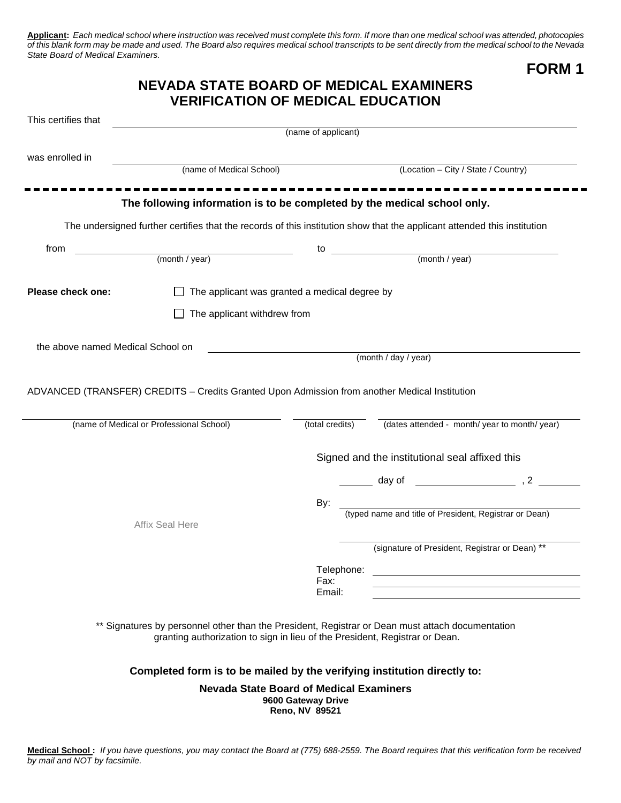**Applicant:** *Each medical school where instruction was received must complete this form. If more than one medical school was attended, photocopies of this blank form may be made and used. The Board also requires medical school transcripts to be sent directly from the medical school to the Nevada State Board of Medical Examiners.* 

**FORM 1**

### **NEVADA STATE BOARD OF MEDICAL EXAMINERS VERIFICATION OF MEDICAL EDUCATION**

| This certifies that               |                                                                                                                                                                                 |                                               |                                                |                                                                                                                 |
|-----------------------------------|---------------------------------------------------------------------------------------------------------------------------------------------------------------------------------|-----------------------------------------------|------------------------------------------------|-----------------------------------------------------------------------------------------------------------------|
|                                   |                                                                                                                                                                                 | (name of applicant)                           |                                                |                                                                                                                 |
| was enrolled in                   |                                                                                                                                                                                 |                                               |                                                |                                                                                                                 |
|                                   | (name of Medical School)                                                                                                                                                        |                                               |                                                | (Location - City / State / Country)                                                                             |
|                                   |                                                                                                                                                                                 |                                               |                                                |                                                                                                                 |
|                                   | The following information is to be completed by the medical school only.                                                                                                        |                                               |                                                |                                                                                                                 |
|                                   | The undersigned further certifies that the records of this institution show that the applicant attended this institution                                                        |                                               |                                                |                                                                                                                 |
| from                              | (month / year)                                                                                                                                                                  | to                                            | (month / year)                                 |                                                                                                                 |
|                                   |                                                                                                                                                                                 |                                               |                                                |                                                                                                                 |
| Please check one:                 |                                                                                                                                                                                 | The applicant was granted a medical degree by |                                                |                                                                                                                 |
|                                   | The applicant withdrew from                                                                                                                                                     |                                               |                                                |                                                                                                                 |
| the above named Medical School on |                                                                                                                                                                                 |                                               |                                                |                                                                                                                 |
|                                   |                                                                                                                                                                                 |                                               | (month / day / year)                           |                                                                                                                 |
|                                   | ADVANCED (TRANSFER) CREDITS - Credits Granted Upon Admission from another Medical Institution<br>(name of Medical or Professional School)                                       | (total credits)                               |                                                | (dates attended - month/ year to month/ year)                                                                   |
|                                   |                                                                                                                                                                                 |                                               | Signed and the institutional seal affixed this |                                                                                                                 |
|                                   |                                                                                                                                                                                 |                                               |                                                | day of the set of the set of the set of the set of the set of the set of the set of the set of the set of the s |
|                                   |                                                                                                                                                                                 | By:                                           |                                                |                                                                                                                 |
|                                   | Affix Seal Here                                                                                                                                                                 |                                               |                                                | (typed name and title of President, Registrar or Dean)                                                          |
|                                   |                                                                                                                                                                                 |                                               |                                                | (signature of President, Registrar or Dean) **                                                                  |
|                                   |                                                                                                                                                                                 | Telephone:                                    |                                                | <u> 1989 - Johann Stein, mars ann an Catharin ann an t-</u>                                                     |
|                                   |                                                                                                                                                                                 | Fax:<br>Email:                                |                                                |                                                                                                                 |
|                                   | ** Signatures by personnel other than the President, Registrar or Dean must attach documentation<br>granting authorization to sign in lieu of the President, Registrar or Dean. |                                               |                                                |                                                                                                                 |
|                                   | Completed form is to be mailed by the verifying institution directly to:                                                                                                        |                                               |                                                |                                                                                                                 |
|                                   |                                                                                                                                                                                 |                                               |                                                |                                                                                                                 |

**Nevada State Board of Medical Examiners 9600 Gateway Drive Reno, NV 89521**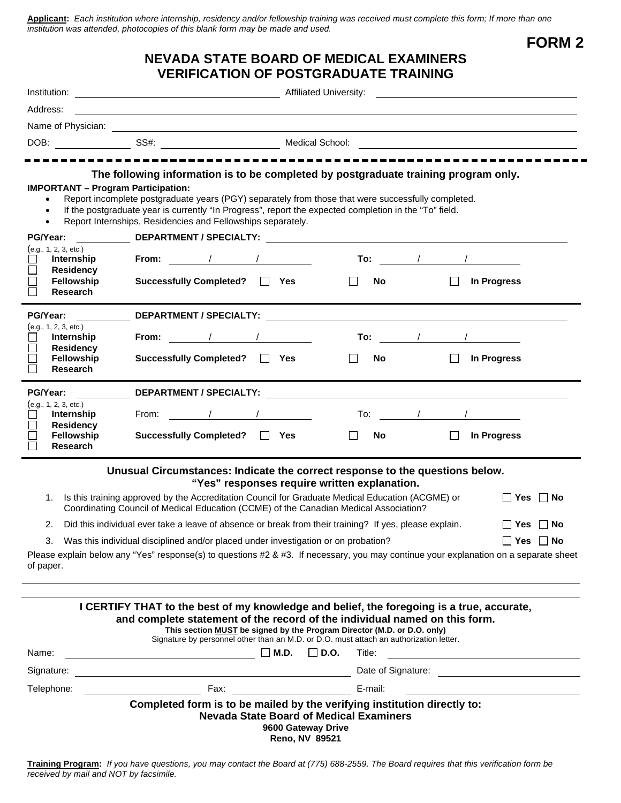**Applicant:** *Each institution where internship, residency and/or fellowship training was received must complete this form; If more than one institution was attended, photocopies of this blank form may be made and used.*

**FORM 2**

### **NEVADA STATE BOARD OF MEDICAL EXAMINERS VERIFICATION OF POSTGRADUATE TRAINING**

| Address:                                                    |                                                                                                                                                                                                                                                                                                                                                                               |                                                                      |         |                  |                      |
|-------------------------------------------------------------|-------------------------------------------------------------------------------------------------------------------------------------------------------------------------------------------------------------------------------------------------------------------------------------------------------------------------------------------------------------------------------|----------------------------------------------------------------------|---------|------------------|----------------------|
|                                                             |                                                                                                                                                                                                                                                                                                                                                                               |                                                                      |         |                  |                      |
|                                                             | DOB: SS#: SS#: Nedical School: Nedical School:                                                                                                                                                                                                                                                                                                                                |                                                                      |         |                  |                      |
|                                                             |                                                                                                                                                                                                                                                                                                                                                                               |                                                                      |         |                  |                      |
|                                                             | The following information is to be completed by postgraduate training program only.                                                                                                                                                                                                                                                                                           |                                                                      |         |                  |                      |
| <b>IMPORTANT - Program Participation:</b><br>$\bullet$      | Report incomplete postgraduate years (PGY) separately from those that were successfully completed.<br>If the postgraduate year is currently "In Progress", report the expected completion in the "To" field.<br>Report Internships, Residencies and Fellowships separately.                                                                                                   |                                                                      |         |                  |                      |
| PG/Year:                                                    | <b>DEPARTMENT / SPECIALTY:</b> The contract of the contract of the contract of the contract of the contract of the contract of the contract of the contract of the contract of the contract of the contract of the contract of the                                                                                                                                            |                                                                      |         |                  |                      |
| (e.g., 1, 2, 3, etc.)<br>Internship                         | From: $\qquad \qquad / \qquad \qquad /$                                                                                                                                                                                                                                                                                                                                       |                                                                      |         | <b>To:</b> / / / |                      |
| Г<br><b>Residency</b><br>Fellowship<br>П<br><b>Research</b> | <b>Successfully Completed?</b>                                                                                                                                                                                                                                                                                                                                                | II Yes                                                               | No.     |                  | In Progress          |
| PG/Year:                                                    | DEPARTMENT / SPECIALTY: The contract of the contract of the contract of the contract of the contract of the contract of the contract of the contract of the contract of the contract of the contract of the contract of the co                                                                                                                                                |                                                                      |         |                  |                      |
| (e.g., 1, 2, 3, etc.)<br>Internship                         | From: $\qquad \qquad / \qquad \qquad /$                                                                                                                                                                                                                                                                                                                                       |                                                                      |         |                  |                      |
| <b>Residency</b>                                            |                                                                                                                                                                                                                                                                                                                                                                               |                                                                      |         |                  |                      |
| Fellowship<br><b>Research</b>                               | Successfully Completed? □ Yes                                                                                                                                                                                                                                                                                                                                                 |                                                                      | No.     | П                | In Progress          |
| PG/Year:                                                    | DEPARTMENT / SPECIALTY: The Contract of the Contract of the Contract of the Contract of the Contract of the Co                                                                                                                                                                                                                                                                |                                                                      |         |                  |                      |
| (e.g., 1, 2, 3, etc.)<br>Internship                         | From: / / /                                                                                                                                                                                                                                                                                                                                                                   |                                                                      |         |                  |                      |
| <b>Residency</b><br><b>Fellowship</b>                       | Successfully Completed? □ Yes                                                                                                                                                                                                                                                                                                                                                 |                                                                      | No.     |                  | In Progress          |
| <b>Research</b>                                             |                                                                                                                                                                                                                                                                                                                                                                               |                                                                      |         |                  |                      |
|                                                             | Unusual Circumstances: Indicate the correct response to the questions below.                                                                                                                                                                                                                                                                                                  | "Yes" responses require written explanation.                         |         |                  |                      |
| 1.                                                          | Is this training approved by the Accreditation Council for Graduate Medical Education (ACGME) or<br>Coordinating Council of Medical Education (CCME) of the Canadian Medical Association?                                                                                                                                                                                     |                                                                      |         |                  | $\Box$ Yes $\Box$ No |
| 2.                                                          | Did this individual ever take a leave of absence or break from their training? If yes, please explain.                                                                                                                                                                                                                                                                        |                                                                      |         |                  | $\Box$ Yes $\Box$ No |
|                                                             | 3. Was this individual disciplined and/or placed under investigation or on probation?                                                                                                                                                                                                                                                                                         |                                                                      |         |                  | $\Box$ Yes $\Box$ No |
| of paper.                                                   | Please explain below any "Yes" response(s) to questions #2 & #3. If necessary, you may continue your explanation on a separate sheet                                                                                                                                                                                                                                          |                                                                      |         |                  |                      |
| Name:                                                       | I CERTIFY THAT to the best of my knowledge and belief, the foregoing is a true, accurate,<br>and complete statement of the record of the individual named on this form.<br>This section MUST be signed by the Program Director (M.D. or D.O. only)<br>Signature by personnel other than an M.D. or D.O. must attach an authorization letter.<br>$\overline{\phantom{a}}$ M.D. | $\Box$ D.O.                                                          | Title:  |                  |                      |
| Signature:                                                  |                                                                                                                                                                                                                                                                                                                                                                               |                                                                      |         |                  |                      |
| Telephone:                                                  | <u> 1989 - Johann Stoff, deutscher Stoffen und der Stoffen und der Stoffen und der Stoffen und der Stoffen und der</u>                                                                                                                                                                                                                                                        |                                                                      | E-mail: |                  |                      |
|                                                             | Completed form is to be mailed by the verifying institution directly to:                                                                                                                                                                                                                                                                                                      | <b>Nevada State Board of Medical Examiners</b><br>9600 Gateway Drive |         |                  |                      |

**Reno, NV 89521**

**Training Program:** *If you have questions, you may contact the Board at (775) 688-2559. The Board requires that this verification form be received by mail and NOT by facsimile.*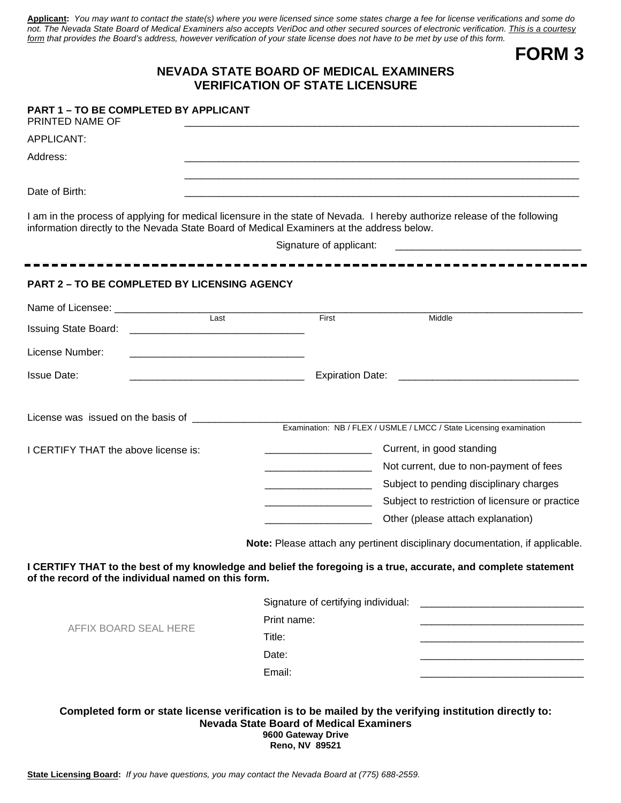**Applicant:** *You may want to contact the state(s) where you were licensed since some states charge a fee for license verifications and some do not. The Nevada State Board of Medical Examiners also accepts VeriDoc and other secured sources of electronic verification. This is a courtesy form that provides the Board's address, however verification of your state license does not have to be met by use of this form.*

**FORM 3**

#### **NEVADA STATE BOARD OF MEDICAL EXAMINERS VERIFICATION OF STATE LICENSURE**

## **PART 1 – TO BE COMPLETED BY APPLICANT** PRINTED NAME OF APPLICANT: \_\_\_\_\_\_\_\_\_\_\_\_\_\_\_\_\_\_\_\_\_\_\_\_\_\_\_\_\_\_\_\_\_\_\_\_\_\_\_\_\_\_\_\_\_\_\_\_\_\_\_\_\_\_\_\_\_\_\_\_\_\_\_\_\_\_\_\_\_\_ Address: \_\_\_\_\_\_\_\_\_\_\_\_\_\_\_\_\_\_\_\_\_\_\_\_\_\_\_\_\_\_\_\_\_\_\_\_\_\_\_\_\_\_\_\_\_\_\_\_\_\_\_\_\_\_\_\_\_\_\_\_\_\_\_\_\_\_\_\_\_\_ \_\_\_\_\_\_\_\_\_\_\_\_\_\_\_\_\_\_\_\_\_\_\_\_\_\_\_\_\_\_\_\_\_\_\_\_\_\_\_\_\_\_\_\_\_\_\_\_\_\_\_\_\_\_\_\_\_\_\_\_\_\_\_\_\_\_\_\_\_\_ Date of Birth: \_\_\_\_\_\_\_\_\_\_\_\_\_\_\_\_\_\_\_\_\_\_\_\_\_\_\_\_\_\_\_\_\_\_\_\_\_\_\_\_\_\_\_\_\_\_\_\_\_\_\_\_\_\_\_\_\_\_\_\_\_\_\_\_\_\_\_\_\_\_ I am in the process of applying for medical licensure in the state of Nevada. I hereby authorize release of the following information directly to the Nevada State Board of Medical Examiners at the address below. **- - - - - - - - - - - - - - - - - - - - - - - - - - - - - - - - - - - - - - - - - - - - - - - - - - - - - - - - - - - - - PART 2 – TO BE COMPLETED BY LICENSING AGENCY**  Name of Licensee: \_\_\_\_\_\_\_\_\_\_\_\_\_\_\_\_\_\_\_\_\_\_\_\_\_\_\_\_\_\_\_\_\_\_\_\_\_\_\_\_\_\_\_\_\_\_\_\_\_\_\_\_\_\_\_\_\_\_\_\_\_\_\_\_\_\_\_\_\_\_\_\_\_\_\_\_\_\_\_\_\_\_\_ Last Issuing State Board: \_\_\_\_\_\_\_\_\_\_\_\_\_\_\_\_\_\_\_\_\_\_\_\_\_\_\_\_\_\_\_ License Number: Issue Date: \_\_\_\_\_\_\_\_\_\_\_\_\_\_\_\_\_\_\_\_\_\_\_\_\_\_\_\_\_\_\_ Expiration Date: \_\_\_\_\_\_\_\_\_\_\_\_\_\_\_\_\_\_\_\_\_\_\_\_\_\_\_\_\_\_\_\_ License was issued on the basis of Examination: NB / FLEX / USMLE / LMCC / State Licensing examination I CERTIFY THAT the above license is: **Note:** Please attach any pertinent disciplinary documentation, if applicable. **I CERTIFY THAT to the best of my knowledge and belief the foregoing is a true, accurate, and complete statement of the record of the individual named on this form.** Signature of applicant: \_\_\_\_\_\_\_\_\_\_\_\_\_\_\_\_\_\_\_ Current, in good standing \_\_\_\_\_\_\_\_\_\_\_\_\_\_\_\_\_\_\_ Not current, due to non-payment of fees **EXEC** Subject to pending disciplinary charges **EXECUTE:** Subject to restriction of licensure or practice \_\_\_\_\_\_\_\_\_\_\_\_\_\_\_\_\_\_\_ Other (please attach explanation)

AFFIX BOARD SEAL HERE

| Signature of certifying individual: |  |
|-------------------------------------|--|
| Print name:                         |  |
| Title:                              |  |
| Date:                               |  |
| Email:                              |  |

**Completed form or state license verification is to be mailed by the verifying institution directly to: Nevada State Board of Medical Examiners 9600 Gateway Drive Reno, NV 89521**

**State Licensing Board:** *If you have questions, you may contact the Nevada Board at (775) 688-2559.*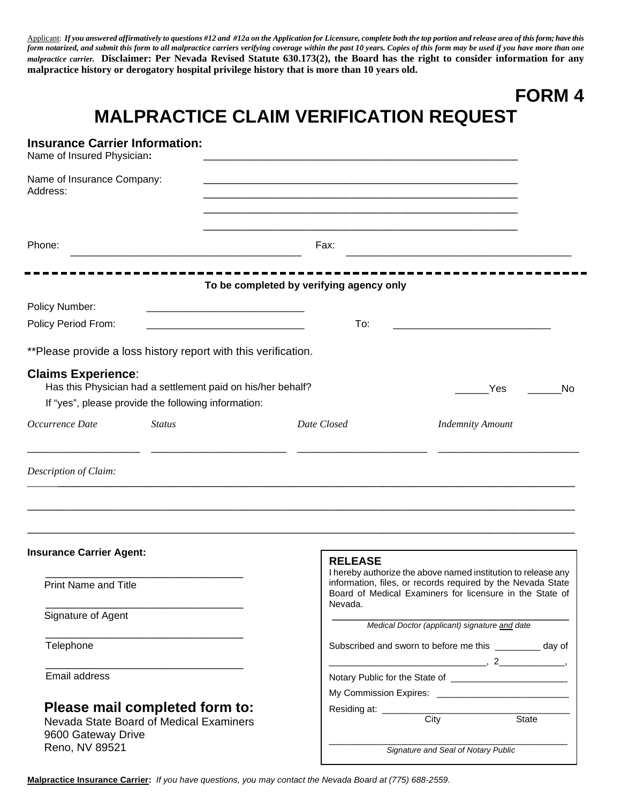Applicant: *If you answered affirmatively to questions #12 and #12a on the Application for Licensure, complete both the top portion and release area of this form; have this form notarized, and submit this form to all malpractice carriers verifying coverage within the past 10 years. Copies of this form may be used if you have more than one malpractice carrier.* **Disclaimer: Per Nevada Revised Statute 630.173(2), the Board has the right to consider information for any malpractice history or derogatory hospital privilege history that is more than 10 years old.**

# **FORM 4**

# **MALPRACTICE CLAIM VERIFICATION REQUEST**

| <b>Insurance Carrier Information:</b><br>Name of Insured Physician: |                                                                           |                                          |                                                                                                                                                                                          |
|---------------------------------------------------------------------|---------------------------------------------------------------------------|------------------------------------------|------------------------------------------------------------------------------------------------------------------------------------------------------------------------------------------|
| Name of Insurance Company:<br>Address:                              |                                                                           |                                          |                                                                                                                                                                                          |
|                                                                     |                                                                           |                                          |                                                                                                                                                                                          |
| Phone:                                                              |                                                                           | Fax:                                     |                                                                                                                                                                                          |
|                                                                     |                                                                           | To be completed by verifying agency only |                                                                                                                                                                                          |
| Policy Number:                                                      |                                                                           |                                          |                                                                                                                                                                                          |
| Policy Period From:                                                 |                                                                           | To:                                      |                                                                                                                                                                                          |
|                                                                     | **Please provide a loss history report with this verification.            |                                          |                                                                                                                                                                                          |
| <b>Claims Experience:</b>                                           | Has this Physician had a settlement paid on his/her behalf?               |                                          | No<br>Yes                                                                                                                                                                                |
|                                                                     | If "yes", please provide the following information:                       |                                          |                                                                                                                                                                                          |
| Occurrence Date                                                     | <b>Status</b>                                                             | Date Closed                              | <b>Indemnity Amount</b>                                                                                                                                                                  |
| Description of Claim:                                               |                                                                           |                                          |                                                                                                                                                                                          |
| <b>Insurance Carrier Agent:</b>                                     |                                                                           | <b>RELEASE</b>                           |                                                                                                                                                                                          |
| <b>Print Name and Title</b>                                         |                                                                           | Nevada.                                  | I hereby authorize the above named institution to release any<br>information, files, or records required by the Nevada State<br>Board of Medical Examiners for licensure in the State of |
| Signature of Agent                                                  |                                                                           |                                          | Medical Doctor (applicant) signature and date                                                                                                                                            |
| Telephone                                                           |                                                                           |                                          | Subscribed and sworn to before me this ________ day of                                                                                                                                   |
| Email address                                                       |                                                                           |                                          |                                                                                                                                                                                          |
|                                                                     |                                                                           |                                          |                                                                                                                                                                                          |
| 9600 Gateway Drive                                                  | Please mail completed form to:<br>Nevada State Board of Medical Examiners |                                          | City<br><b>State</b>                                                                                                                                                                     |
| Reno, NV 89521                                                      |                                                                           |                                          | Signature and Seal of Notary Public                                                                                                                                                      |

**Malpractice Insurance Carrier:** *If you have questions, you may contact the Nevada Board at (775) 688-2559.*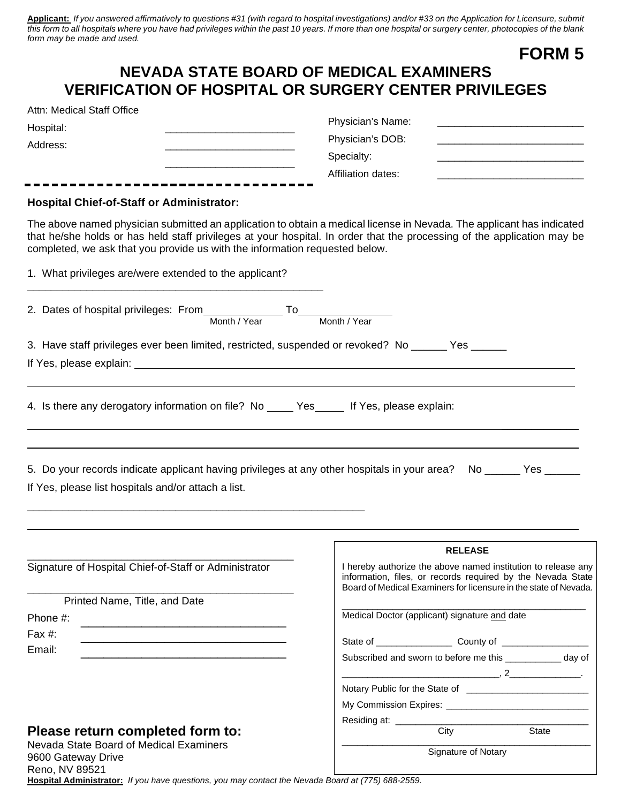**Applicant:** *If you answered affirmatively to questions #31 (with regard to hospital investigations) and/or #33 on the Application for Licensure, submit this form to all hospitals where you have had privileges within the past 10 years. If more than one hospital or surgery center, photocopies of the blank form may be made and used.* **FORM 5**

|                                                                                                                                                                                                                                                                                                                                 | <b>FORM 5</b>                                                                                                                                                                                                                                                                                                                                       |
|---------------------------------------------------------------------------------------------------------------------------------------------------------------------------------------------------------------------------------------------------------------------------------------------------------------------------------|-----------------------------------------------------------------------------------------------------------------------------------------------------------------------------------------------------------------------------------------------------------------------------------------------------------------------------------------------------|
| <b>NEVADA STATE BOARD OF MEDICAL EXAMINERS</b><br><b>VERIFICATION OF HOSPITAL OR SURGERY CENTER PRIVILEGES</b>                                                                                                                                                                                                                  |                                                                                                                                                                                                                                                                                                                                                     |
| Attn: Medical Staff Office                                                                                                                                                                                                                                                                                                      | Physician's Name:                                                                                                                                                                                                                                                                                                                                   |
| Hospital:<br>Address:                                                                                                                                                                                                                                                                                                           | Physician's DOB:                                                                                                                                                                                                                                                                                                                                    |
|                                                                                                                                                                                                                                                                                                                                 | Specialty:                                                                                                                                                                                                                                                                                                                                          |
|                                                                                                                                                                                                                                                                                                                                 | Affiliation dates:                                                                                                                                                                                                                                                                                                                                  |
| <b>Hospital Chief-of-Staff or Administrator:</b>                                                                                                                                                                                                                                                                                |                                                                                                                                                                                                                                                                                                                                                     |
| The above named physician submitted an application to obtain a medical license in Nevada. The applicant has indicated<br>that he/she holds or has held staff privileges at your hospital. In order that the processing of the application may be<br>completed, we ask that you provide us with the information requested below. |                                                                                                                                                                                                                                                                                                                                                     |
| 1. What privileges are/were extended to the applicant?                                                                                                                                                                                                                                                                          |                                                                                                                                                                                                                                                                                                                                                     |
|                                                                                                                                                                                                                                                                                                                                 |                                                                                                                                                                                                                                                                                                                                                     |
|                                                                                                                                                                                                                                                                                                                                 |                                                                                                                                                                                                                                                                                                                                                     |
| 3. Have staff privileges ever been limited, restricted, suspended or revoked? No ______ Yes ______                                                                                                                                                                                                                              |                                                                                                                                                                                                                                                                                                                                                     |
|                                                                                                                                                                                                                                                                                                                                 |                                                                                                                                                                                                                                                                                                                                                     |
| 5. Do your records indicate applicant having privileges at any other hospitals in your area? No ______ Yes ______<br>If Yes, please list hospitals and/or attach a list.                                                                                                                                                        |                                                                                                                                                                                                                                                                                                                                                     |
|                                                                                                                                                                                                                                                                                                                                 |                                                                                                                                                                                                                                                                                                                                                     |
| Signature of Hospital Chief-of-Staff or Administrator                                                                                                                                                                                                                                                                           | <b>RELEASE</b><br>I hereby authorize the above named institution to release any                                                                                                                                                                                                                                                                     |
|                                                                                                                                                                                                                                                                                                                                 | information, files, or records required by the Nevada State<br>Board of Medical Examiners for licensure in the state of Nevada.                                                                                                                                                                                                                     |
| Printed Name, Title, and Date                                                                                                                                                                                                                                                                                                   |                                                                                                                                                                                                                                                                                                                                                     |
| Phone #:                                                                                                                                                                                                                                                                                                                        | Medical Doctor (applicant) signature and date                                                                                                                                                                                                                                                                                                       |
| Fax #:                                                                                                                                                                                                                                                                                                                          |                                                                                                                                                                                                                                                                                                                                                     |
| Email:                                                                                                                                                                                                                                                                                                                          | Subscribed and sworn to before me this _____________ day of                                                                                                                                                                                                                                                                                         |
|                                                                                                                                                                                                                                                                                                                                 | $\overline{a}$ , $\overline{a}$ , $\overline{a}$ , $\overline{a}$ , $\overline{a}$ , $\overline{a}$ , $\overline{a}$ , $\overline{a}$ , $\overline{a}$ , $\overline{a}$ , $\overline{a}$ , $\overline{a}$ , $\overline{a}$ , $\overline{a}$ , $\overline{a}$ , $\overline{a}$ , $\overline{a}$ , $\overline{a}$ , $\overline{a}$ , $\overline{a}$ , |
|                                                                                                                                                                                                                                                                                                                                 |                                                                                                                                                                                                                                                                                                                                                     |
|                                                                                                                                                                                                                                                                                                                                 |                                                                                                                                                                                                                                                                                                                                                     |
| Please return completed form to:                                                                                                                                                                                                                                                                                                | Residing at: ________<br>City<br>State                                                                                                                                                                                                                                                                                                              |
| Nevada State Board of Medical Examiners                                                                                                                                                                                                                                                                                         | Signature of Notary                                                                                                                                                                                                                                                                                                                                 |
| 9600 Gateway Drive<br>Reno, NV 89521                                                                                                                                                                                                                                                                                            |                                                                                                                                                                                                                                                                                                                                                     |

**Hospital Administrator:** *If you have questions, you may contact the Nevada Board at (775) 688-2559.*